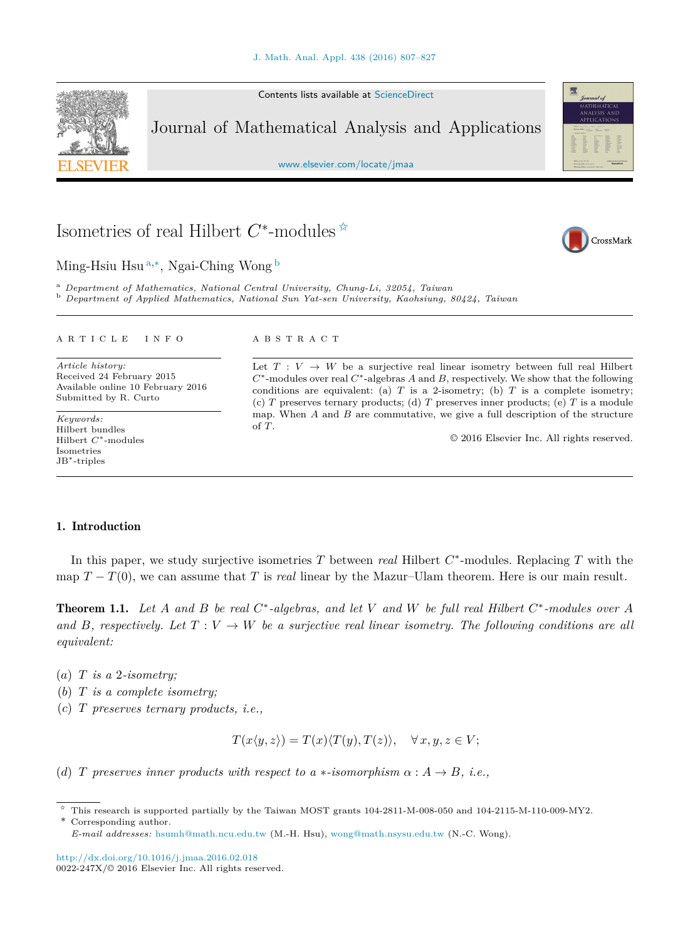Contents lists available at [ScienceDirect](http://www.ScienceDirect.com/)

Journal of Mathematical Analysis and Applications

[www.elsevier.com/locate/jmaa](http://www.elsevier.com/locate/jmaa)

# Isometries of real Hilbert *C*∗-modules ✩

Ming-Hsiu Hsu <sup>a</sup>*,*∗, Ngai-Ching Wong <sup>b</sup>

<sup>a</sup> Department of Mathematics, National Central University, Chung-Li, 32054, Taiwan<br><sup>b</sup> Department of Applied Mathematics, National Sun Yat-sen University, Kaohsiung, 80424, Taiwan

#### A R T I C L E I N F O A B S T R A C T

*Article history:* Received 24 February 2015 Available online 10 February 2016 Submitted by R. Curto

*Keywords:* Hilbert bundles Hilbert *C*∗-modules Isometries JB∗-triples

Let  $T: V \to W$  be a surjective real linear isometry between full real Hilbert *C*∗-modules over real *C*∗-algebras *A* and *B*, respectively. We show that the following conditions are equivalent: (a)  $T$  is a 2-isometry; (b)  $T$  is a complete isometry; (c) *T* preserves ternary products; (d) *T* preserves inner products; (e) *T* is a module map. When *A* and *B* are commutative, we give a full description of the structure of *T*.

© 2016 Elsevier Inc. All rights reserved.

# 1. Introduction

In this paper, we study surjective isometries *T* between *real* Hilbert *C*∗-modules. Replacing *T* with the map  $T - T(0)$ , we can assume that *T* is *real* linear by the Mazur–Ulam theorem. Here is our main result.

**Theorem 1.1.** Let A and B be real  $C^*$ -algebras, and let V and W be full real Hilbert  $C^*$ -modules over A and B, respectively. Let  $T: V \to W$  be a surjective real linear isometry. The following conditions are all *equivalent:*

- $(a)$  *T is a* 2*-isometry*;
- (*b*) *T is a complete isometry;*
- (*c*) *T preserves ternary products, i.e.,*

 $T(x\langle y,z\rangle) = T(x)\langle T(y),T(z)\rangle, \quad \forall x,y,z \in V;$ 

(*d*) *T* preserves inner products with respect to  $a *$ -isomorphism  $\alpha : A \rightarrow B$ , *i.e.*,

<http://dx.doi.org/10.1016/j.jmaa.2016.02.018>  $0022-247X/\odot 2016$  Elsevier Inc. All rights reserved.

<span id="page-0-0"></span>





 $\hat{\tau}$  This research is supported partially by the Taiwan MOST grants 104-2811-M-008-050 and 104-2115-M-110-009-MY2. \* Corresponding author.

*E-mail addresses:* [hsumh@math.ncu.edu.tw](mailto:hsumh@math.ncu.edu.tw) (M.-H. Hsu), [wong@math.nsysu.edu.tw](mailto:wong@math.nsysu.edu.tw) (N.-C. Wong).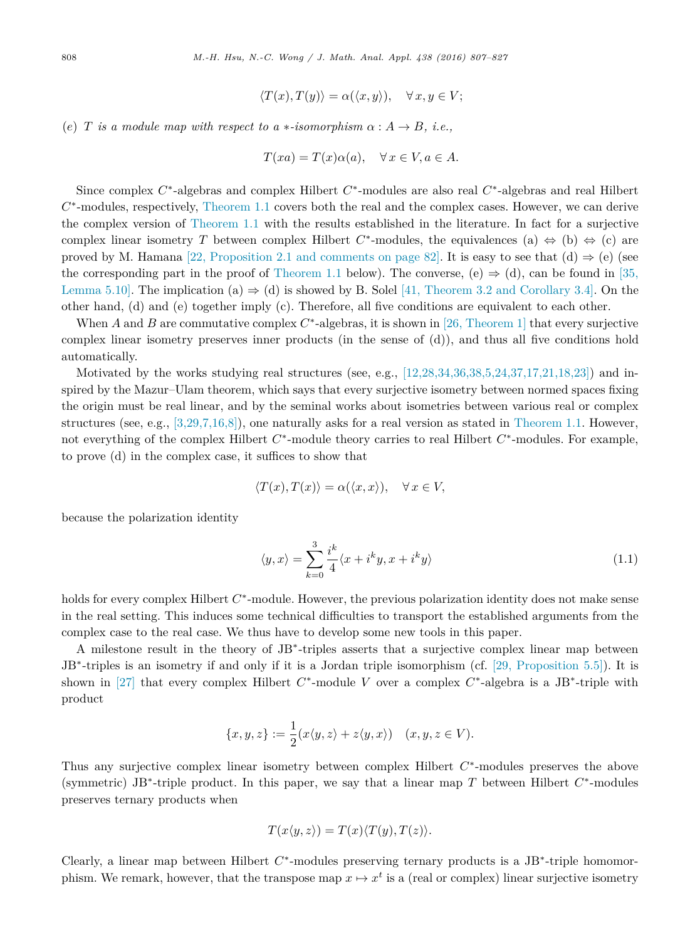$$
\langle T(x), T(y) \rangle = \alpha(\langle x, y \rangle), \quad \forall x, y \in V;
$$

<span id="page-1-0"></span>(*e*) *T is a* module map with respect to  $a *$ -isomorphism  $\alpha : A \rightarrow B$ , *i.e.*,

$$
T(xa) = T(x)\alpha(a), \quad \forall x \in V, a \in A.
$$

Since complex *C*∗-algebras and complex Hilbert *C*∗-modules are also real *C*∗-algebras and real Hilbert *C*∗-modules, respectively, [Theorem 1.1](#page-0-0) covers both the real and the complex cases. However, we can derive the complex version of [Theorem 1.1](#page-0-0) with the results established in the literature. In fact for a surjective complex linear isometry *T* between complex Hilbert  $C^*$ -modules, the equivalences (a)  $\Leftrightarrow$  (b)  $\Leftrightarrow$  (c) are proved by M. Hamana [22, [Proposition](#page-20-0) 2.1 and comments on page 82]. It is easy to see that (d)  $\Rightarrow$  (e) (see the corresponding part in the proof of [Theorem 1.1](#page-0-0) below). The converse, (e)  $\Rightarrow$  (d), can be found in [\[35,](#page-20-0) [Lemma](#page-20-0) 5.10]. The implication (a)  $\Rightarrow$  (d) is showed by B. Solel [41, Theorem 3.2 and [Corollary](#page-20-0) 3.4]. On the other hand, (d) and (e) together imply (c). Therefore, all five conditions are equivalent to each other.

When *A* and *B* are commutative complex  $C^*$ -algebras, it is shown in [26, [Theorem](#page-20-0) 1] that every surjective complex linear isometry preserves inner products (in the sense of (d)), and thus all five conditions hold automatically.

Motivated by the works studying real structures (see, e.g.,  $[12, 28, 34, 36, 38, 5, 24, 37, 17, 21, 18, 23]$ ) and inspired by the Mazur–Ulam theorem, which says that every surjective isometry between normed spaces fixing the origin must be real linear, and by the seminal works about isometries between various real or complex structures (see, e.g.,  $[3.29, 7.16, 8]$ ), one naturally asks for a real version as stated in [Theorem 1.1.](#page-0-0) However, not everything of the complex Hilbert *C*∗-module theory carries to real Hilbert *C*∗-modules. For example, to prove (d) in the complex case, it suffices to show that

$$
\langle T(x), T(x) \rangle = \alpha(\langle x, x \rangle), \quad \forall x \in V,
$$

because the polarization identity

$$
\langle y, x \rangle = \sum_{k=0}^{3} \frac{i^k}{4} \langle x + i^k y, x + i^k y \rangle \tag{1.1}
$$

holds for every complex Hilbert *C*∗-module. However, the previous polarization identity does not make sense in the real setting. This induces some technical difficulties to transport the established arguments from the complex case to the real case. We thus have to develop some new tools in this paper.

A milestone result in the theory of JB∗-triples asserts that a surjective complex linear map between JB∗-triples is an isometry if and only if it is a Jordan triple isomorphism (cf. [29, [Proposition](#page-20-0) 5.5]). It is shown in [\[27\]](#page-20-0) that every complex Hilbert *C*∗-module *V* over a complex *C*∗-algebra is a JB∗-triple with product

$$
\{x, y, z\} := \frac{1}{2}(x\langle y, z \rangle + z\langle y, x \rangle) \quad (x, y, z \in V).
$$

Thus any surjective complex linear isometry between complex Hilbert *C*∗-modules preserves the above (symmetric) JB∗-triple product. In this paper, we say that a linear map *T* between Hilbert *C*∗-modules preserves ternary products when

$$
T(x\langle y,z\rangle)=T(x)\langle T(y),T(z)\rangle.
$$

Clearly, a linear map between Hilbert *C*∗-modules preserving ternary products is a JB∗-triple homomorphism. We remark, however, that the transpose map  $x \mapsto x^t$  is a (real or complex) linear surjective isometry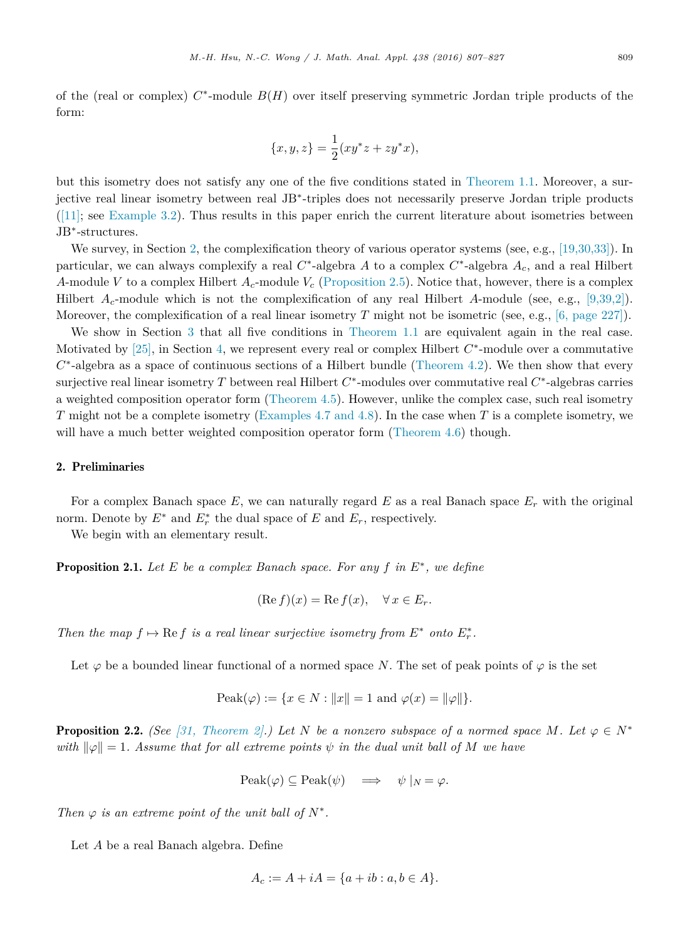<span id="page-2-0"></span>of the (real or complex) *C*∗-module *B*(*H*) over itself preserving symmetric Jordan triple products of the form:

$$
\{x, y, z\} = \frac{1}{2}(xy^*z + zy^*x),
$$

but this isometry does not satisfy any one of the five conditions stated in [Theorem 1.1.](#page-0-0) Moreover, a surjective real linear isometry between real JB∗-triples does not necessarily preserve Jordan triple products  $([11];$  see [Example 3.2\)](#page-6-0). Thus results in this paper enrich the current literature about isometries between JB∗-structures.

We survey, in Section 2, the complexification theory of various operator systems (see, e.g., [\[19,30,33\]\)](#page-20-0). In particular, we can always complexify a real *C*∗-algebra *A* to a complex *C*∗-algebra *Ac*, and a real Hilbert *A*-module *V* to a complex Hilbert *Ac*-module *V<sup>c</sup>* [\(Proposition 2.5\)](#page-4-0). Notice that, however, there is a complex Hilbert  $A_c$ -module which is not the complexification of any real Hilbert *A*-module (see, e.g., [\[9,39,2\]\)](#page-19-0). Moreover, the complexification of a real linear isometry *T* might not be isometric (see, e.g., [6, [page](#page-19-0) 227]).

We show in Section [3](#page-6-0) that all five conditions in [Theorem 1.1](#page-0-0) are equivalent again in the real case. Motivated by [\[25\],](#page-20-0) in Section [4,](#page-9-0) we represent every real or complex Hilbert *C*∗-module over a commutative  $C^*$ -algebra as a space of continuous sections of a Hilbert bundle [\(Theorem 4.2\)](#page-10-0). We then show that every surjective real linear isometry *T* between real Hilbert *C*∗-modules over commutative real *C*∗-algebras carries a weighted composition operator form [\(Theorem 4.5\)](#page-14-0). However, unlike the complex case, such real isometry *T* might not be a complete isometry [\(Examples 4.7 and](#page-17-0) 4.8). In the case when *T* is a complete isometry, we will have a much better weighted composition operator form [\(Theorem 4.6\)](#page-16-0) though.

# 2. Preliminaries

For a complex Banach space  $E$ , we can naturally regard  $E$  as a real Banach space  $E_r$  with the original norm. Denote by  $E^*$  and  $E^*_r$  the dual space of  $E$  and  $E_r$ , respectively.

We begin with an elementary result.

Proposition 2.1. *Let E be a complex Banach space. For any f in E*∗*, we define*

$$
(\operatorname{Re} f)(x) = \operatorname{Re} f(x), \quad \forall \, x \in E_r.
$$

*Then the map*  $f \mapsto \text{Re } f$  *is a real linear surjective isometry from*  $E^*$  *onto*  $E^*_r$ *.* 

Let  $\varphi$  be a bounded linear functional of a normed space *N*. The set of peak points of  $\varphi$  is the set

$$
\text{Peak}(\varphi) := \{ x \in N : ||x|| = 1 \text{ and } \varphi(x) = ||\varphi|| \}.
$$

**Proposition 2.2.** (See [31, [Theorem](#page-20-0) 2].) Let N be a nonzero subspace of a normed space M. Let  $\varphi \in N^*$  $\alpha$  *with*  $\|\varphi\| = 1$ . Assume that for all extreme points  $\psi$  *in the dual unit ball of M* we have

$$
\text{Peak}(\varphi) \subseteq \text{Peak}(\psi) \quad \Longrightarrow \quad \psi \mid_N = \varphi.
$$

*Then*  $\varphi$  *is an extreme point of the unit ball of*  $N^*$ .

Let *A* be a real Banach algebra. Define

$$
A_c := A + iA = \{a + ib : a, b \in A\}.
$$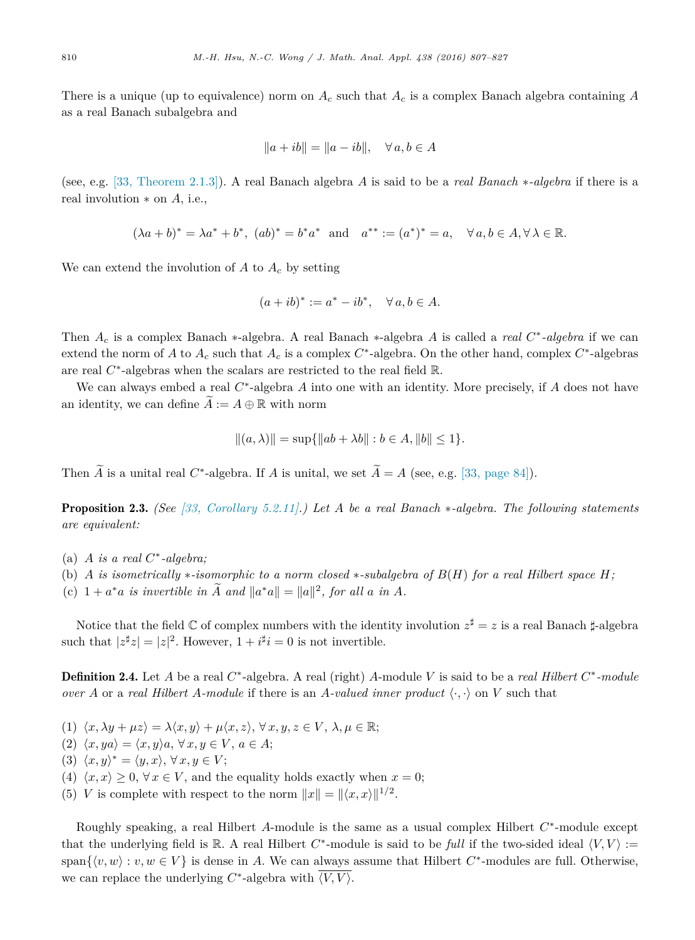<span id="page-3-0"></span>There is a unique (up to equivalence) norm on  $A_c$  such that  $A_c$  is a complex Banach algebra containing  $A$ as a real Banach subalgebra and

$$
||a+ib|| = ||a-ib||, \quad \forall a, b \in A
$$

(see, e.g. [33, [Theorem](#page-20-0) 2.1.3]). A real Banach algebra *A* is said to be a *real Banach* ∗*-algebra* if there is a real involution ∗ on *A*, i.e.,

$$
(\lambda a + b)^* = \lambda a^* + b^*, (ab)^* = b^* a^*
$$
 and  $a^{**} := (a^*)^* = a, \quad \forall a, b \in A, \forall \lambda \in \mathbb{R}.$ 

We can extend the involution of  $A$  to  $A_c$  by setting

$$
(a+ib)^* := a^* - ib^*, \quad \forall a, b \in A.
$$

Then *A<sup>c</sup>* is a complex Banach ∗-algebra. A real Banach ∗-algebra *A* is called a *real C*∗*-algebra* if we can extend the norm of *A* to *A<sup>c</sup>* such that *A<sup>c</sup>* is a complex *C*∗-algebra. On the other hand, complex *C*∗-algebras are real *C*∗-algebras when the scalars are restricted to the real field R.

We can always embed a real *C*∗-algebra *A* into one with an identity. More precisely, if *A* does not have an identity, we can define  $A := A \oplus \mathbb{R}$  with norm

$$
||(a, \lambda)|| = \sup{||ab + \lambda b|| : b \in A, ||b|| \le 1}.
$$

Then  $\widetilde{A}$  is a unital real *C*<sup>∗</sup>-algebra. If *A* is unital, we set  $\widetilde{A} = A$  (see, e.g. [33, [page](#page-20-0) 84]).

Proposition 2.3. *(See [33, [Corollary](#page-20-0) 5.2.11].) Let A be a real Banach* ∗*-algebra. The following statements are equivalent:*

- (a) *A is a real C*∗*-algebra;*
- (b) A is isometrically \*-isomorphic to a norm closed \*-subalgebra of  $B(H)$  for a real Hilbert space H;
- (c)  $1 + a^*a$  *is invertible in*  $\tilde{A}$  *and*  $||a^*a|| = ||a||^2$ , for all *a in A*.

Notice that the field  $\mathbb C$  of complex numbers with the identity involution  $z^{\sharp} = z$  is a real Banach  $\sharp$ -algebra such that  $|z^{\sharp}z| = |z|^2$ . However,  $1 + i^{\sharp}i = 0$  is not invertible.

Definition 2.4. Let *A* be a real *C*∗-algebra. A real (right) *A*-module *V* is said to be a *real Hilbert C*∗*-module over A* or a *real Hilbert A-module* if there is an *A-valued inner product*  $\langle \cdot, \cdot \rangle$  on *V* such that

- (1)  $\langle x, \lambda y + \mu z \rangle = \lambda \langle x, y \rangle + \mu \langle x, z \rangle, \forall x, y, z \in V, \lambda, \mu \in \mathbb{R};$
- $\langle 2 \rangle \langle x, ya \rangle = \langle x, y \rangle a, \forall x, y \in V, a \in A;$
- $(3) \langle x, y \rangle^* = \langle y, x \rangle, \forall x, y \in V;$
- (4)  $\langle x, x \rangle \geq 0$ ,  $\forall x \in V$ , and the equality holds exactly when  $x = 0$ ;
- (5) *V* is complete with respect to the norm  $||x|| = ||\langle x, x \rangle||^{1/2}$ .

Roughly speaking, a real Hilbert *A*-module is the same as a usual complex Hilbert *C*∗-module except that the underlying field is R. A real Hilbert  $C^*$ -module is said to be *full* if the two-sided ideal  $\langle V, V \rangle :=$ span $\{v, w\} : v, w \in V\}$  is dense in *A*. We can always assume that Hilbert  $C^*$ -modules are full. Otherwise, we can replace the underlying  $C^*$ -algebra with  $\overline{\langle V, V \rangle}$ .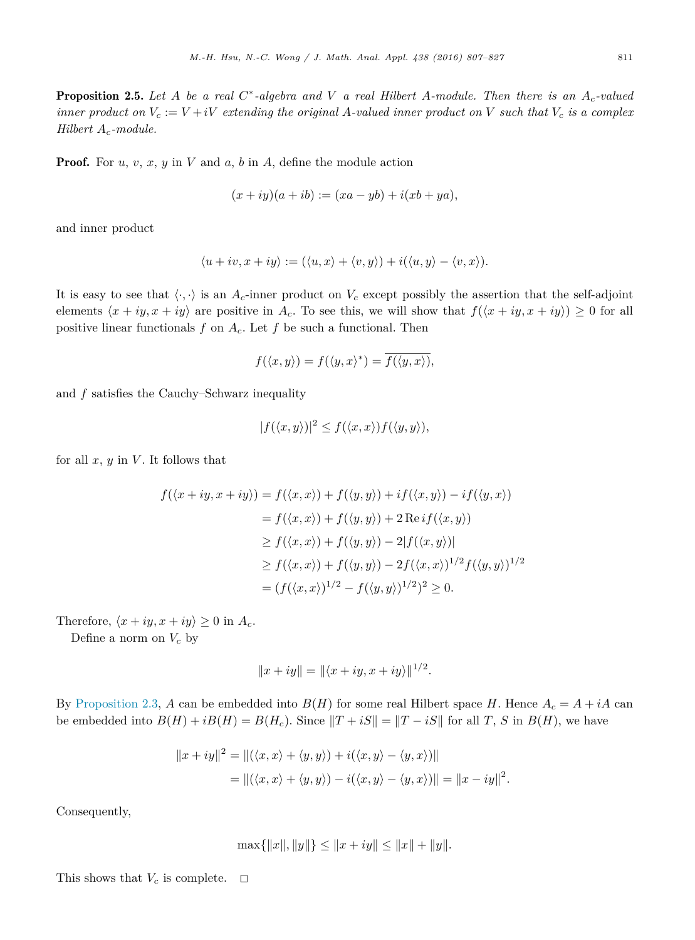<span id="page-4-0"></span>**Proposition 2.5.** Let A be a real  $C^*$ -algebra and V a real Hilbert A-module. Then there is an  $A_c$ -valued inner product on  $V_c := V + iV$  extending the original A-valued inner product on V such that  $V_c$  is a complex *Hilbert Ac-module.*

Proof. For *u*, *v*, *x*, *y* in *V* and *a*, *b* in *A*, define the module action

$$
(x+iy)(a+ib) := (xa - yb) + i(xb + ya),
$$

and inner product

$$
\langle u + iv, x + iy \rangle := (\langle u, x \rangle + \langle v, y \rangle) + i(\langle u, y \rangle - \langle v, x \rangle).
$$

It is easy to see that  $\langle \cdot, \cdot \rangle$  is an  $A_c$ -inner product on  $V_c$  except possibly the assertion that the self-adjoint elements  $\langle x + iy, x + iy \rangle$  are positive in  $A_c$ . To see this, we will show that  $f(\langle x + iy, x + iy \rangle) \ge 0$  for all positive linear functionals  $f$  on  $A_c$ . Let  $f$  be such a functional. Then

$$
f(\langle x, y \rangle) = f(\langle y, x \rangle^*) = \overline{f(\langle y, x \rangle)},
$$

and *f* satisfies the Cauchy–Schwarz inequality

$$
|f(\langle x,y\rangle)|^2 \le f(\langle x,x\rangle)f(\langle y,y\rangle),
$$

for all  $x, y$  in  $V$ . It follows that

$$
f(\langle x+iy, x+iy \rangle) = f(\langle x, x \rangle) + f(\langle y, y \rangle) + if(\langle x, y \rangle) - if(\langle y, x \rangle)
$$
  

$$
= f(\langle x, x \rangle) + f(\langle y, y \rangle) + 2 \operatorname{Re} if(\langle x, y \rangle)
$$
  

$$
\geq f(\langle x, x \rangle) + f(\langle y, y \rangle) - 2|f(\langle x, y \rangle)|
$$
  

$$
\geq f(\langle x, x \rangle) + f(\langle y, y \rangle) - 2f(\langle x, x \rangle)^{1/2} f(\langle y, y \rangle)^{1/2}
$$
  

$$
= (f(\langle x, x \rangle)^{1/2} - f(\langle y, y \rangle)^{1/2})^2 \geq 0.
$$

Therefore,  $\langle x + iy, x + iy \rangle \geq 0$  in  $A_c$ .

Define a norm on *V<sup>c</sup>* by

$$
||x+iy|| = ||\langle x+iy, x+iy \rangle||^{1/2}.
$$

By [Proposition 2.3,](#page-3-0) *A* can be embedded into  $B(H)$  for some real Hilbert space *H*. Hence  $A_c = A + iA$  can be embedded into  $B(H) + iB(H) = B(H_c)$ . Since  $||T + iS|| = ||T - iS||$  for all *T*, *S* in *B*(*H*), we have

$$
||x+iy||^2 = ||(\langle x,x \rangle + \langle y,y \rangle) + i(\langle x,y \rangle - \langle y,x \rangle)||
$$
  
= 
$$
||(\langle x,x \rangle + \langle y,y \rangle) - i(\langle x,y \rangle - \langle y,x \rangle)|| = ||x-iy||^2.
$$

Consequently,

$$
\max\{\|x\|, \|y\|\} \le \|x+iy\| \le \|x\| + \|y\|.
$$

This shows that  $V_c$  is complete.  $\Box$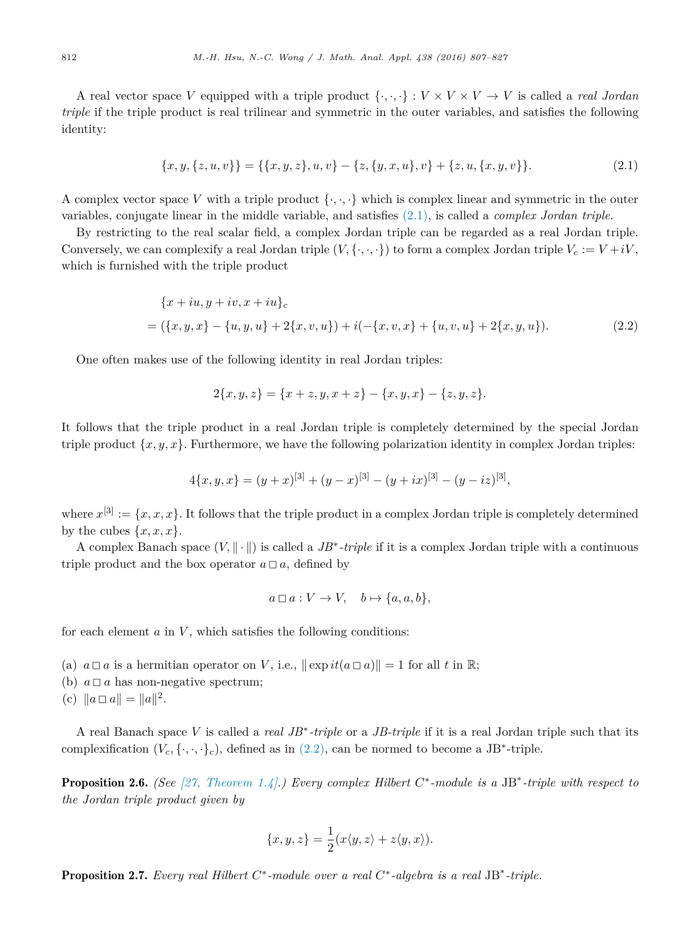<span id="page-5-0"></span>A real vector space *V* equipped with a triple product  $\{\cdot, \cdot, \cdot\}: V \times V \times V \to V$  is called a *real Jordan triple* if the triple product is real trilinear and symmetric in the outer variables, and satisfies the following identity:

$$
\{x, y, \{z, u, v\}\} = \{\{x, y, z\}, u, v\} - \{z, \{y, x, u\}, v\} + \{z, u, \{x, y, v\}\}.
$$
\n(2.1)

A complex vector space V with a triple product  $\{\cdot, \cdot, \cdot\}$  which is complex linear and symmetric in the outer variables, conjugate linear in the middle variable, and satisfies (2.1), is called a *complex Jordan triple*.

By restricting to the real scalar field, a complex Jordan triple can be regarded as a real Jordan triple. Conversely, we can complexify a real Jordan triple  $(V, \{ \cdot, \cdot, \cdot \})$  to form a complex Jordan triple  $V_c := V + iV$ , which is furnished with the triple product

$$
\{x+iu, y+iv, x+iu\}_c
$$
  
= (\{x, y, x\} - \{u, y, u\} + 2\{x, v, u\}) + i(-\{x, v, x\} + \{u, v, u\} + 2\{x, y, u\}). (2.2)

One often makes use of the following identity in real Jordan triples:

$$
2\{x, y, z\} = \{x + z, y, x + z\} - \{x, y, x\} - \{z, y, z\}.
$$

It follows that the triple product in a real Jordan triple is completely determined by the special Jordan triple product  $\{x, y, x\}$ . Furthermore, we have the following polarization identity in complex Jordan triples:

$$
4\{x, y, x\} = (y+x)^{[3]} + (y-x)^{[3]} - (y+ix)^{[3]} - (y-iz)^{[3]},
$$

where  $x^{[3]} := \{x, x, x\}$ . It follows that the triple product in a complex Jordan triple is completely determined by the cubes  $\{x, x, x\}$ .

A complex Banach space  $(V, \|\cdot\|)$  is called a *JB<sup>\*</sup>-triple* if it is a complex Jordan triple with a continuous triple product and the box operator  $a \Box a$ , defined by

$$
a \Box a : V \to V, \quad b \mapsto \{a, a, b\},\
$$

for each element  $a$  in  $V$ , which satisfies the following conditions:

- (a)  $a \Box a$  is a hermitian operator on V, i.e.,  $\|\exp it(a \Box a)\| = 1$  for all t in R;
- (b)  $a \Box a$  has non-negative spectrum;
- (c)  $\|a \Box a\| = \|a\|^2$ .

A real Banach space *V* is called a *real JB*∗*-triple* or a *JB-triple* if it is a real Jordan triple such that its complexification  $(V_c, \{\cdot, \cdot, \cdot\}_c)$ , defined as in  $(2.2)$ , can be normed to become a JB<sup>\*</sup>-triple.

Proposition 2.6. *(See [27, [Theorem](#page-20-0) 1.4].) Every complex Hilbert C*∗*-module is a* JB∗*-triple with respect to the Jordan triple product given by*

$$
\{x, y, z\} = \frac{1}{2}(x \langle y, z \rangle + z \langle y, x \rangle).
$$

Proposition 2.7. *Every real Hilbert C*∗*-module over a real C*∗*-algebra is a real* JB∗*-triple.*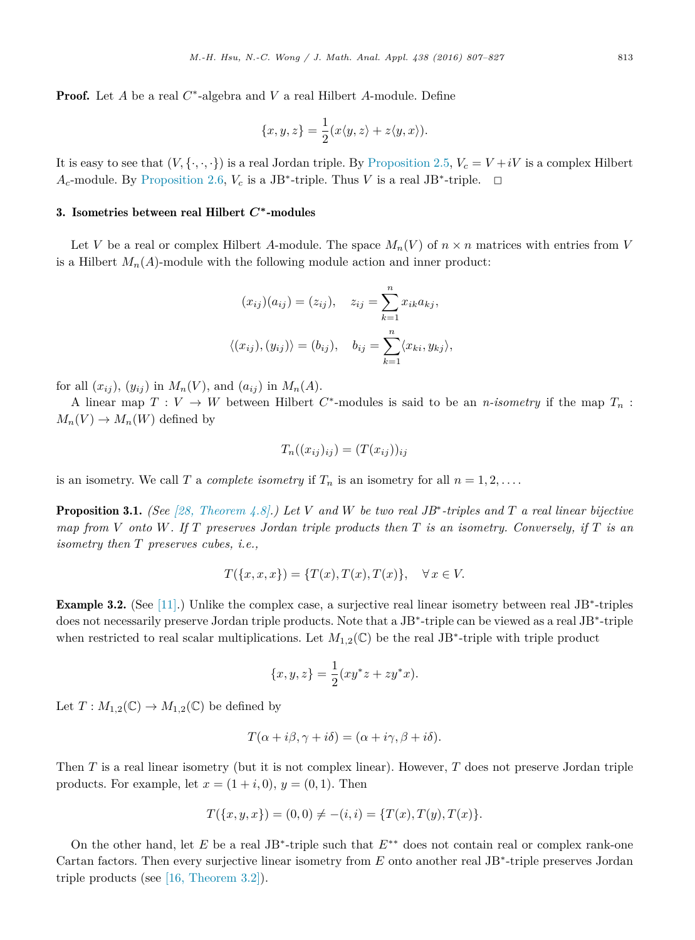<span id="page-6-0"></span>Proof. Let *A* be a real *C*∗-algebra and *V* a real Hilbert *A*-module. Define

$$
\{x, y, z\} = \frac{1}{2}(x \langle y, z \rangle + z \langle y, x \rangle).
$$

It is easy to see that  $(V, \{\cdot, \cdot, \cdot\})$  is a real Jordan triple. By [Proposition 2.5,](#page-4-0)  $V_c = V + iV$  is a complex Hilbert *A*<sub>*c*</sub>-module. By [Proposition 2.6,](#page-5-0) *V*<sub>*c*</sub> is a JB<sup>∗</sup>-triple. Thus *V* is a real JB<sup>∗</sup>-triple.  $□$ 

#### 3. Isometries between real Hilbert *C***∗**-modules

Let *V* be a real or complex Hilbert *A*-module. The space  $M_n(V)$  of  $n \times n$  matrices with entries from *V* is a Hilbert  $M_n(A)$ -module with the following module action and inner product:

$$
(x_{ij})(a_{ij}) = (z_{ij}), \quad z_{ij} = \sum_{k=1}^{n} x_{ik}a_{kj},
$$

$$
\langle (x_{ij}), (y_{ij}) \rangle = (b_{ij}), \quad b_{ij} = \sum_{k=1}^{n} \langle x_{ki}, y_{kj} \rangle,
$$

for all  $(x_{ij})$ ,  $(y_{ij})$  in  $M_n(V)$ , and  $(a_{ij})$  in  $M_n(A)$ .

A linear map  $T: V \to W$  between Hilbert  $C^*$ -modules is said to be an *n-isometry* if the map  $T_n$ :  $M_n(V) \to M_n(W)$  defined by

$$
T_n((x_{ij})_{ij}) = (T(x_{ij}))_{ij}
$$

is an isometry. We call *T* a *complete isometry* if  $T_n$  is an isometry for all  $n = 1, 2, \ldots$ .

**Proposition 3.1.** (See [28, [Theorem](#page-20-0) 4.8].) Let V and W be two real JB\*-triples and T a real linear bijective map from V onto W. If T preserves Jordan triple products then T is an isometry. Conversely, if T is an *isometry then T preserves cubes, i.e.,*

$$
T(\lbrace x,x,x\rbrace) = \lbrace T(x),T(x),T(x)\rbrace, \quad \forall x \in V.
$$

Example 3.2. (See [\[11\].](#page-19-0)) Unlike the complex case, a surjective real linear isometry between real JB∗-triples does not necessarily preserve Jordan triple products. Note that a JB∗-triple can be viewed as a real JB∗-triple when restricted to real scalar multiplications. Let  $M_{1,2}(\mathbb{C})$  be the real JB<sup>\*</sup>-triple with triple product

$$
\{x, y, z\} = \frac{1}{2}(xy^*z + zy^*x).
$$

Let  $T: M_{1,2}(\mathbb{C}) \to M_{1,2}(\mathbb{C})$  be defined by

$$
T(\alpha + i\beta, \gamma + i\delta) = (\alpha + i\gamma, \beta + i\delta).
$$

Then *T* is a real linear isometry (but it is not complex linear). However, *T* does not preserve Jordan triple products. For example, let  $x = (1 + i, 0), y = (0, 1)$ . Then

$$
T(\{x, y, x\}) = (0, 0) \neq -(i, i) = \{T(x), T(y), T(x)\}.
$$

On the other hand, let *E* be a real JB∗-triple such that *E*∗∗ does not contain real or complex rank-one Cartan factors. Then every surjective linear isometry from *E* onto another real JB∗-triple preserves Jordan triple products (see [16, [Theorem](#page-20-0) 3.2]).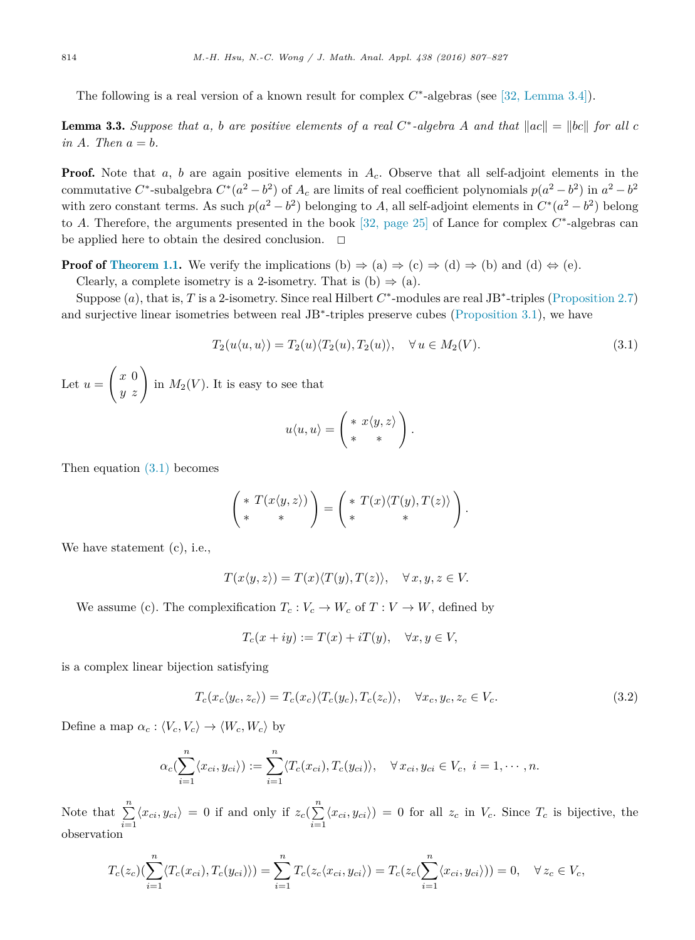<span id="page-7-0"></span>The following is a real version of a known result for complex *C*∗-algebras (see [32, [Lemma](#page-20-0) 3.4]).

**Lemma 3.3.** Suppose that a, b are positive elements of a real C\*-algebra A and that  $\|ac\| = \|bc\|$  for all c  $in A$ *. Then*  $a = b$ *.* 

**Proof.** Note that *a*, *b* are again positive elements in  $A<sub>c</sub>$ . Observe that all self-adjoint elements in the commutative *C*<sup>\*</sup>-subalgebra  $C^*(a^2 - b^2)$  of  $A_c$  are limits of real coefficient polynomials  $p(a^2 - b^2)$  in  $a^2 - b^2$ with zero constant terms. As such  $p(a^2 - b^2)$  belonging to *A*, all self-adjoint elements in  $C^*(a^2 - b^2)$  belong to *A*. Therefore, the arguments presented in the book [32, [page](#page-20-0) 25] of Lance for complex *C*∗-algebras can be applied here to obtain the desired conclusion.  $\Box$ 

**Proof of [Theorem](#page-0-0) 1.1.** We verify the implications (b)  $\Rightarrow$  (a)  $\Rightarrow$  (c)  $\Rightarrow$  (d)  $\Rightarrow$  (b) and (d)  $\Rightarrow$  (e). Clearly, a complete isometry is a 2-isometry. That is  $(b) \Rightarrow (a)$ .

Suppose (*a*), that is, *T* is a 2-isometry. Since real Hilbert *C*∗-modules are real JB∗-triples [\(Proposition 2.7\)](#page-5-0) and surjective linear isometries between real JB∗-triples preserve cubes [\(Proposition 3.1\)](#page-6-0), we have

$$
T_2(u\langle u, u \rangle) = T_2(u)\langle T_2(u), T_2(u) \rangle, \quad \forall u \in M_2(V).
$$
\n(3.1)

Let  $u =$  $\begin{pmatrix} x & 0 \\ y & z \end{pmatrix}$  in  $M_2(V)$ . It is easy to see that

$$
u\langle u,u\rangle = \begin{pmatrix} * & x\langle y,z\rangle \\ * & * \end{pmatrix}.
$$

Then equation (3.1) becomes

$$
\begin{pmatrix} * & T(x \langle y, z \rangle) \\ * & * \end{pmatrix} = \begin{pmatrix} * & T(x) \langle T(y), T(z) \rangle \\ * & * \end{pmatrix}.
$$

We have statement (c), i.e.,

$$
T(x\langle y,z\rangle) = T(x)\langle T(y),T(z)\rangle, \quad \forall x,y,z \in V.
$$

We assume (c). The complexification  $T_c : V_c \to W_c$  of  $T : V \to W$ , defined by

$$
T_c(x+iy) := T(x) + iT(y), \quad \forall x, y \in V,
$$

is a complex linear bijection satisfying

$$
T_c(x_c\langle y_c, z_c \rangle) = T_c(x_c)\langle T_c(y_c), T_c(z_c) \rangle, \quad \forall x_c, y_c, z_c \in V_c.
$$
\n(3.2)

Define a map  $\alpha_c : \langle V_c, V_c \rangle \to \langle W_c, W_c \rangle$  by

$$
\alpha_c(\sum_{i=1}^n \langle x_{ci}, y_{ci} \rangle) := \sum_{i=1}^n \langle T_c(x_{ci}), T_c(y_{ci}) \rangle, \quad \forall x_{ci}, y_{ci} \in V_c, \ i = 1, \cdots, n.
$$

Note that  $\sum_{n=1}^{\infty}$  $\sum_{i=1}^{n} \langle x_{ci}, y_{ci} \rangle = 0$  if and only if  $z_c(\sum_{i=1}^{n}$  $\sum_{i=1}^{n} \langle x_{ci}, y_{ci} \rangle = 0$  for all  $z_c$  in  $V_c$ . Since  $T_c$  is bijective, the observation

$$
T_c(z_c)\left(\sum_{i=1}^n \langle T_c(x_{ci}), T_c(y_{ci}) \rangle\right) = \sum_{i=1}^n T_c(z_c \langle x_{ci}, y_{ci} \rangle) = T_c(z_c(\sum_{i=1}^n \langle x_{ci}, y_{ci} \rangle)) = 0, \quad \forall z_c \in V_c,
$$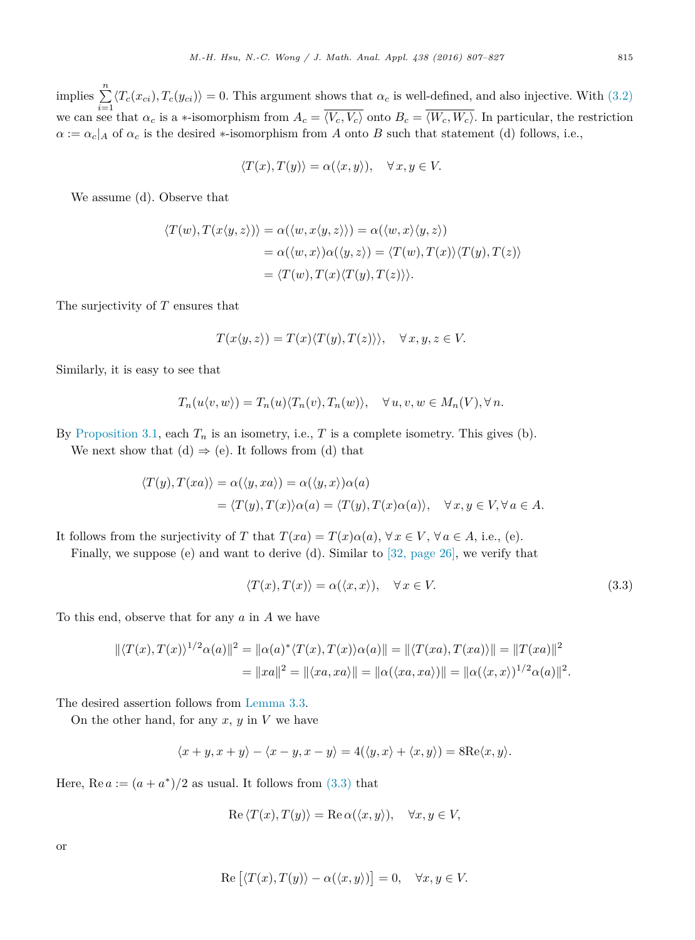implies  $\sum_{i=1}^{n} \langle T_c(x_{ci}), T_c(y_{ci}) \rangle = 0$ . This argument shows that  $\alpha_c$  is well-defined, and also injective. With [\(3.2\)](#page-7-0) we can see that  $\alpha_c$  is a \*-isomorphism from  $A_c = \overline{\langle V_c, V_c \rangle}$  onto  $B_c = \overline{\langle W_c, W_c \rangle}$ . In particular, the restriction  $\alpha := \alpha_c | A$  of  $\alpha_c$  is the desired \*-isomorphism from *A* onto *B* such that statement (d) follows, i.e.,

$$
\langle T(x), T(y) \rangle = \alpha(\langle x, y \rangle), \quad \forall x, y \in V.
$$

We assume (d). Observe that

$$
\langle T(w), T(x\langle y, z \rangle) \rangle = \alpha(\langle w, x \langle y, z \rangle) = \alpha(\langle w, x \rangle \langle y, z \rangle)
$$
  
=  $\alpha(\langle w, x \rangle) \alpha(\langle y, z \rangle) = \langle T(w), T(x) \rangle \langle T(y), T(z) \rangle$   
=  $\langle T(w), T(x) \langle T(y), T(z) \rangle \rangle$ .

The surjectivity of *T* ensures that

$$
T(x\langle y,z\rangle) = T(x)\langle T(y),T(z)\rangle, \quad \forall x,y,z \in V.
$$

Similarly, it is easy to see that

$$
T_n(u\langle v, w \rangle) = T_n(u) \langle T_n(v), T_n(w) \rangle, \quad \forall u, v, w \in M_n(V), \forall n.
$$

By [Proposition 3.1,](#page-6-0) each  $T_n$  is an isometry, i.e.,  $T$  is a complete isometry. This gives (b).

We next show that  $(d) \Rightarrow (e)$ . It follows from  $(d)$  that

$$
\langle T(y), T(xa) \rangle = \alpha(\langle y, xa \rangle) = \alpha(\langle y, x \rangle) \alpha(a)
$$
  
=  $\langle T(y), T(x) \rangle \alpha(a) = \langle T(y), T(x) \alpha(a) \rangle$ ,  $\forall x, y \in V, \forall a \in A$ .

It follows from the surjectivity of *T* that  $T(xa) = T(x)a(a)$ ,  $\forall x \in V$ ,  $\forall a \in A$ , i.e., (e).

Finally, we suppose (e) and want to derive (d). Similar to [32, [page](#page-20-0) 26], we verify that

$$
\langle T(x), T(x) \rangle = \alpha(\langle x, x \rangle), \quad \forall x \in V. \tag{3.3}
$$

To this end, observe that for any *a* in *A* we have

$$
\|\langle T(x), T(x)\rangle^{1/2} \alpha(a)\|^2 = \|\alpha(a)^* \langle T(x), T(x)\rangle \alpha(a)\| = \|\langle T(xa), T(xa)\rangle\| = \|T(xa)\|^2
$$
  
= 
$$
\|xa\|^2 = \|\langle xa, xa\rangle\| = \|\alpha(\langle xa, xa\rangle)\| = \|\alpha(\langle x, x\rangle)^{1/2} \alpha(a)\|^2.
$$

The desired assertion follows from [Lemma 3.3.](#page-7-0)

On the other hand, for any  $x, y$  in  $V$  we have

$$
\langle x+y, x+y \rangle - \langle x-y, x-y \rangle = 4(\langle y, x \rangle + \langle x, y \rangle) = 8 \text{Re} \langle x, y \rangle.
$$

Here,  $\text{Re } a := (a + a^*)/2$  as usual. It follows from  $(3.3)$  that

$$
\operatorname{Re}\left\langle T(x), T(y)\right\rangle = \operatorname{Re}\alpha(\langle x, y\rangle), \quad \forall x, y \in V,
$$

or

$$
\operatorname{Re}\left[\langle T(x), T(y)\rangle - \alpha(\langle x, y\rangle)\right] = 0, \quad \forall x, y \in V.
$$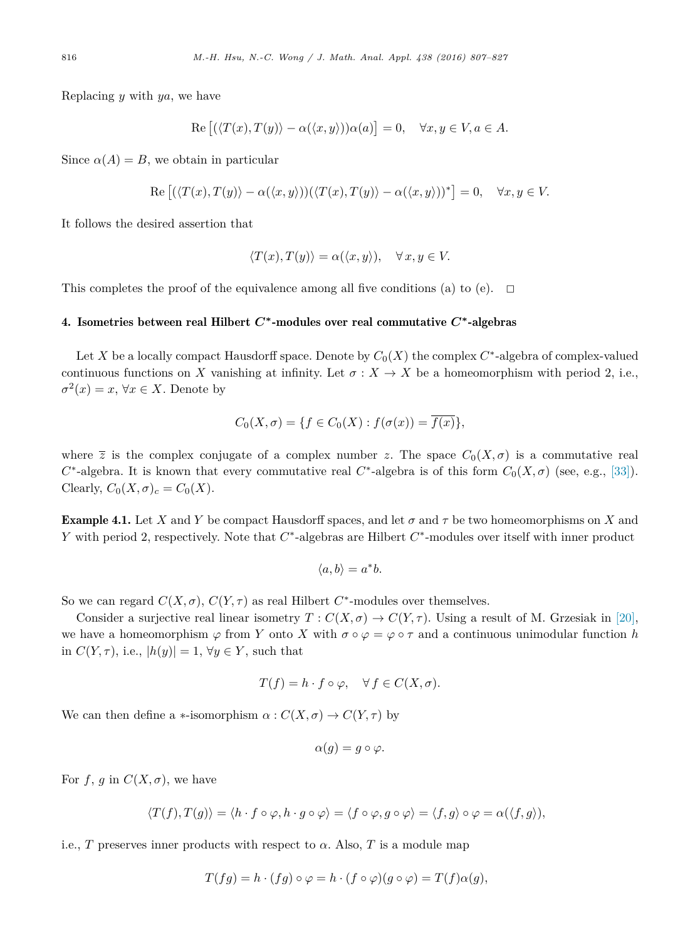<span id="page-9-0"></span>Replacing *y* with *ya*, we have

$$
\operatorname{Re}\left[\left(\langle T(x), T(y)\rangle - \alpha(\langle x, y\rangle)\right)\alpha(a)\right] = 0, \quad \forall x, y \in V, a \in A.
$$

Since  $\alpha(A) = B$ , we obtain in particular

$$
\operatorname{Re}\left[\left(\langle T(x), T(y)\rangle - \alpha(\langle x, y\rangle)\right)\left(\langle T(x), T(y)\rangle - \alpha(\langle x, y\rangle)\right)^*\right] = 0, \quad \forall x, y \in V.
$$

It follows the desired assertion that

$$
\langle T(x), T(y) \rangle = \alpha(\langle x, y \rangle), \quad \forall x, y \in V.
$$

This completes the proof of the equivalence among all five conditions (a) to (e).  $\Box$ 

# 4. Isometries between real Hilbert *C***∗**-modules over real commutative *C***∗**-algebras

Let *X* be a locally compact Hausdorff space. Denote by  $C_0(X)$  the complex  $C^*$ -algebra of complex-valued continuous functions on *X* vanishing at infinity. Let  $\sigma : X \to X$  be a homeomorphism with period 2, i.e.,  $\sigma^2(x) = x, \forall x \in X$ . Denote by

$$
C_0(X,\sigma) = \{f \in C_0(X) : f(\sigma(x)) = \overline{f(x)}\},\
$$

where  $\overline{z}$  is the complex conjugate of a complex number *z*. The space  $C_0(X,\sigma)$  is a commutative real  $C^*$ -algebra. It is known that every commutative real  $C^*$ -algebra is of this form  $C_0(X, \sigma)$  (see, e.g., [\[33\]\)](#page-20-0). Clearly,  $C_0(X, \sigma)_c = C_0(X)$ .

**Example 4.1.** Let *X* and *Y* be compact Hausdorff spaces, and let  $\sigma$  and  $\tau$  be two homeomorphisms on *X* and *Y* with period 2, respectively. Note that  $C^*$ -algebras are Hilbert  $C^*$ -modules over itself with inner product

$$
\langle a,b\rangle = a^*b.
$$

So we can regard  $C(X, \sigma)$ ,  $C(Y, \tau)$  as real Hilbert  $C^*$ -modules over themselves.

Consider a surjective real linear isometry  $T: C(X, \sigma) \to C(Y, \tau)$ . Using a result of M. Grzesiak in [\[20\],](#page-20-0) we have a homeomorphism  $\varphi$  from *Y* onto *X* with  $\sigma \circ \varphi = \varphi \circ \tau$  and a continuous unimodular function *h* in  $C(Y, \tau)$ , i.e.,  $|h(y)| = 1$ ,  $\forall y \in Y$ , such that

$$
T(f) = h \cdot f \circ \varphi, \quad \forall f \in C(X, \sigma).
$$

We can then define a  $\ast$ -isomorphism  $\alpha$  :  $C(X, \sigma) \rightarrow C(Y, \tau)$  by

$$
\alpha(g) = g \circ \varphi.
$$

For  $f, g$  in  $C(X, \sigma)$ , we have

$$
\langle T(f), T(g) \rangle = \langle h \cdot f \circ \varphi, h \cdot g \circ \varphi \rangle = \langle f \circ \varphi, g \circ \varphi \rangle = \langle f, g \rangle \circ \varphi = \alpha(\langle f, g \rangle),
$$

i.e., *T* preserves inner products with respect to  $\alpha$ . Also, *T* is a module map

$$
T(fg) = h \cdot (fg) \circ \varphi = h \cdot (f \circ \varphi)(g \circ \varphi) = T(f)\alpha(g),
$$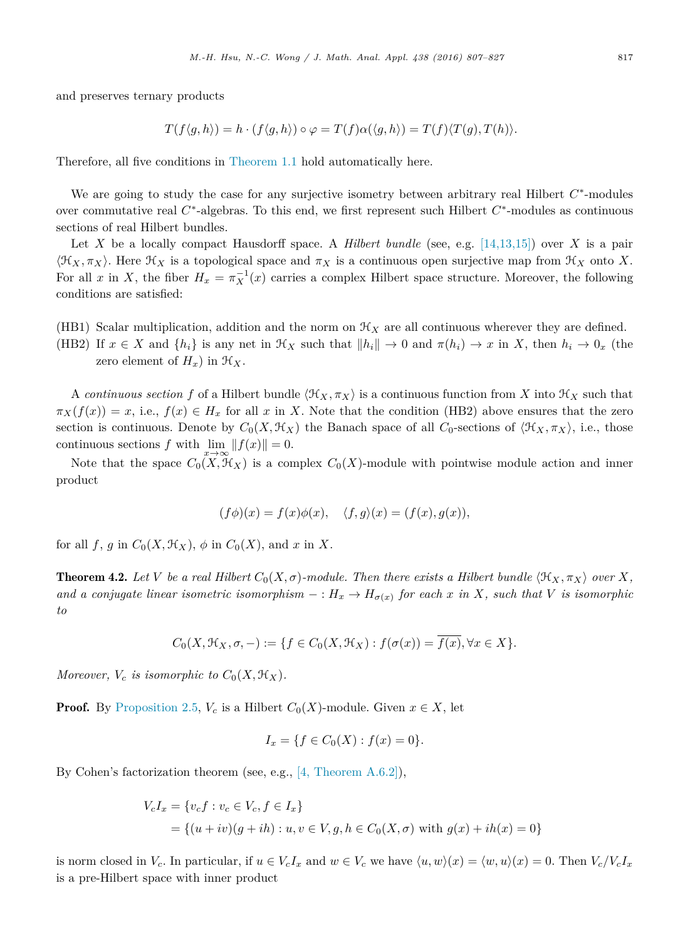<span id="page-10-0"></span>and preserves ternary products

$$
T(f\langle g,h\rangle) = h \cdot (f\langle g,h\rangle) \circ \varphi = T(f)\alpha(\langle g,h\rangle) = T(f)\langle T(g),T(h)\rangle.
$$

Therefore, all five conditions in [Theorem 1.1](#page-0-0) hold automatically here.

We are going to study the case for any surjective isometry between arbitrary real Hilbert *C*∗-modules over commutative real *C*∗-algebras. To this end, we first represent such Hilbert *C*∗-modules as continuous sections of real Hilbert bundles.

Let X be a locally compact Hausdorff space. A *Hilbert bundle* (see, e.g.  $[14,13,15]$ ) over X is a pair  $\langle \mathfrak{H}_X, \pi_X \rangle$ . Here  $\mathfrak{H}_X$  is a topological space and  $\pi_X$  is a continuous open surjective map from  $\mathfrak{H}_X$  onto X. For all *x* in *X*, the fiber  $H_x = \pi_X^{-1}(x)$  carries a complex Hilbert space structure. Moreover, the following conditions are satisfied:

- (HB1) Scalar multiplication, addition and the norm on  $\mathcal{H}_X$  are all continuous wherever they are defined.
- (HB2) If  $x \in X$  and  $\{h_i\}$  is any net in  $\mathcal{H}_X$  such that  $||h_i|| \to 0$  and  $\pi(h_i) \to x$  in X, then  $h_i \to 0_x$  (the zero element of  $H_x$ ) in  $\mathcal{H}_X$ .

A *continuous section* f of a Hilbert bundle  $\langle \mathcal{H}_X, \pi_X \rangle$  is a continuous function from X into  $\mathcal{H}_X$  such that  $\pi_X(f(x)) = x$ , i.e.,  $f(x) \in H_x$  for all *x* in *X*. Note that the condition (HB2) above ensures that the zero section is continuous. Denote by  $C_0(X, \mathcal{H}_X)$  the Banach space of all  $C_0$ -sections of  $\langle \mathcal{H}_X, \pi_X \rangle$ , i.e., those continuous sections *f* with  $\lim_{n \to \infty} ||f(x)|| = 0.$ 

Note that the space  $C_0(X, \mathcal{H}_X)$  is a complex  $C_0(X)$ -module with pointwise module action and inner product

$$
(f\phi)(x) = f(x)\phi(x), \quad \langle f, g \rangle(x) = (f(x), g(x)),
$$

for all  $f$ ,  $g$  in  $C_0(X, \mathcal{H}_X)$ ,  $\phi$  in  $C_0(X)$ , and  $x$  in  $X$ .

**Theorem 4.2.** Let V be a real Hilbert  $C_0(X, \sigma)$ -module. Then there exists a Hilbert bundle  $\langle \mathfrak{K}_X, \pi_X \rangle$  over X, and a conjugate linear isometric isomorphism  $- : H_x \to H_{\sigma(x)}$  for each x in X, such that V is isomorphic *to*

$$
C_0(X, \mathcal{H}_X, \sigma, -) := \{ f \in C_0(X, \mathcal{H}_X) : f(\sigma(x)) = \overline{f(x)}, \forall x \in X \}.
$$

*Moreover,*  $V_c$  *is isomorphic to*  $C_0(X, \mathcal{H}_X)$ *.* 

**Proof.** By [Proposition 2.5,](#page-4-0)  $V_c$  is a Hilbert  $C_0(X)$ -module. Given  $x \in X$ , let

$$
I_x = \{ f \in C_0(X) : f(x) = 0 \}.
$$

By Cohen's factorization theorem (see, e.g., [4, [Theorem](#page-19-0) A.6.2]),

$$
V_c I_x = \{v_c f : v_c \in V_c, f \in I_x\}
$$
  
=  $\{(u + iv)(g + ih) : u, v \in V, g, h \in C_0(X, \sigma) \text{ with } g(x) + ih(x) = 0\}$ 

is norm closed in  $V_c$ . In particular, if  $u \in V_c I_x$  and  $w \in V_c$  we have  $\langle u, w \rangle(x) = \langle w, u \rangle(x) = 0$ . Then  $V_c / V_c I_x$ is a pre-Hilbert space with inner product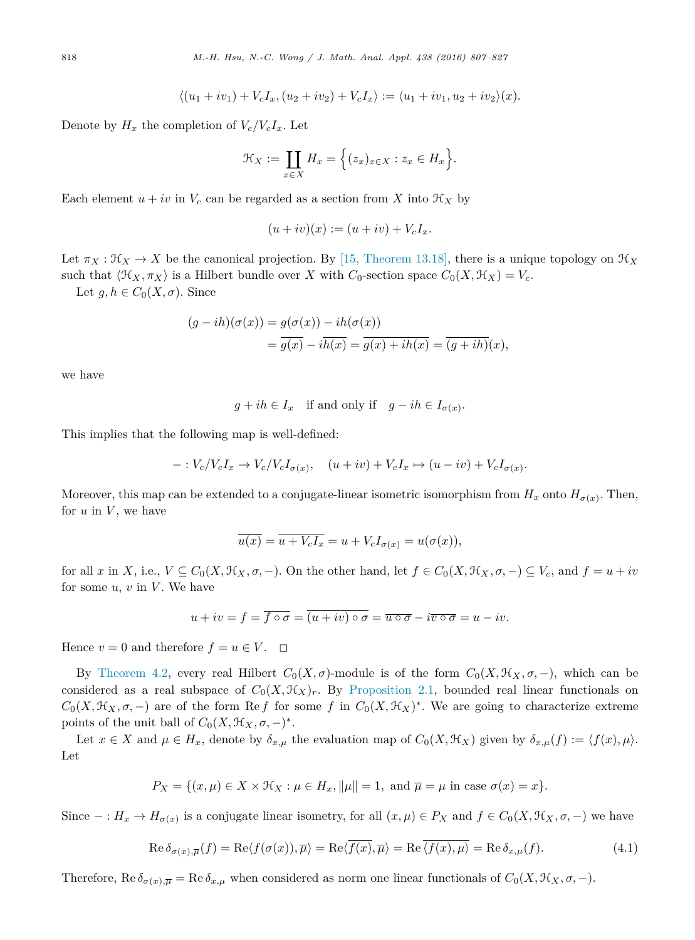$$
\langle (u_1 + iv_1) + V_c I_x, (u_2 + iv_2) + V_c I_x \rangle := \langle u_1 + iv_1, u_2 + iv_2 \rangle (x).
$$

<span id="page-11-0"></span>Denote by  $H_x$  the completion of  $V_c/V_cI_x$ . Let

$$
\mathcal{H}_X := \coprod_{x \in X} H_x = \Big\{ (z_x)_{x \in X} : z_x \in H_x \Big\}.
$$

Each element  $u + iv$  in  $V_c$  can be regarded as a section from X into  $\mathcal{H}_X$  by

$$
(u+iv)(x) := (u+iv) + V_c I_x.
$$

Let  $\pi_X : \mathcal{H}_X \to X$  be the canonical projection. By [15, [Theorem](#page-19-0) 13.18], there is a unique topology on  $\mathcal{H}_X$ such that  $\langle \mathcal{H}_X, \pi_X \rangle$  is a Hilbert bundle over *X* with *C*<sub>0</sub>-section space  $C_0(X, \mathcal{H}_X) = V_c$ .

Let  $g, h \in C_0(X, \sigma)$ . Since

$$
(g - ih)(\sigma(x)) = g(\sigma(x)) - ih(\sigma(x))
$$
  
= 
$$
\overline{g(x)} - i\overline{h(x)} = \overline{g(x) + ih(x)} = \overline{(g + ih)}(x),
$$

we have

$$
g + ih \in I_x \quad \text{if and only if} \quad g - ih \in I_{\sigma(x)}.
$$

This implies that the following map is well-defined:

$$
-: V_c/V_cI_x \to V_c/V_cI_{\sigma(x)}, \quad (u+iv) + V_cI_x \mapsto (u-iv) + V_cI_{\sigma(x)}.
$$

Moreover, this map can be extended to a conjugate-linear isometric isomorphism from  $H_x$  onto  $H_{\sigma(x)}$ . Then, for  $u$  in  $V$ , we have

$$
\overline{u(x)} = \overline{u + V_c I_x} = u + V_c I_{\sigma(x)} = u(\sigma(x)),
$$

for all x in X, i.e.,  $V \subseteq C_0(X, \mathcal{H}_X, \sigma, -)$ . On the other hand, let  $f \in C_0(X, \mathcal{H}_X, \sigma, -) \subseteq V_c$ , and  $f = u + iv$ for some  $u, v$  in  $V$ . We have

$$
u + iv = f = \overline{f \circ \sigma} = \overline{(u + iv) \circ \sigma} = \overline{u \circ \sigma} - i\overline{v \circ \sigma} = u - iv.
$$

Hence  $v = 0$  and therefore  $f = u \in V$ .  $\Box$ 

By [Theorem 4.2,](#page-10-0) every real Hilbert  $C_0(X, \sigma)$ -module is of the form  $C_0(X, \mathcal{H}_X, \sigma, -)$ , which can be considered as a real subspace of  $C_0(X, \mathcal{H}_X)_r$ . By [Proposition 2.1,](#page-2-0) bounded real linear functionals on  $C_0(X, \mathcal{H}_X, \sigma, -)$  are of the form Re *f* for some *f* in  $C_0(X, \mathcal{H}_X)^*$ . We are going to characterize extreme points of the unit ball of  $C_0(X, \mathcal{H}_X, \sigma, -)^*$ .

Let  $x \in X$  and  $\mu \in H_x$ , denote by  $\delta_{x,\mu}$  the evaluation map of  $C_0(X, \mathcal{H}_X)$  given by  $\delta_{x,\mu}(f) := \langle f(x), \mu \rangle$ . Let

$$
P_X = \{(x, \mu) \in X \times \mathcal{H}_X : \mu \in H_x, \|\mu\| = 1, \text{ and } \overline{\mu} = \mu \text{ in case } \sigma(x) = x\}.
$$

Since  $- : H_x \to H_{\sigma(x)}$  is a conjugate linear isometry, for all  $(x, \mu) \in P_X$  and  $f \in C_0(X, \mathcal{H}_X, \sigma, -)$  we have

$$
\operatorname{Re}\delta_{\sigma(x),\overline{\mu}}(f) = \operatorname{Re}\langle f(\sigma(x)),\overline{\mu}\rangle = \operatorname{Re}\langle \overline{f(x)},\overline{\mu}\rangle = \operatorname{Re}\overline{\langle f(x),\mu\rangle} = \operatorname{Re}\delta_{x,\mu}(f). \tag{4.1}
$$

Therefore, Re  $\delta_{\sigma(x),\overline{\mu}} = \text{Re } \delta_{x,\mu}$  when considered as norm one linear functionals of  $C_0(X,\mathcal{H}_X,\sigma,-)$ .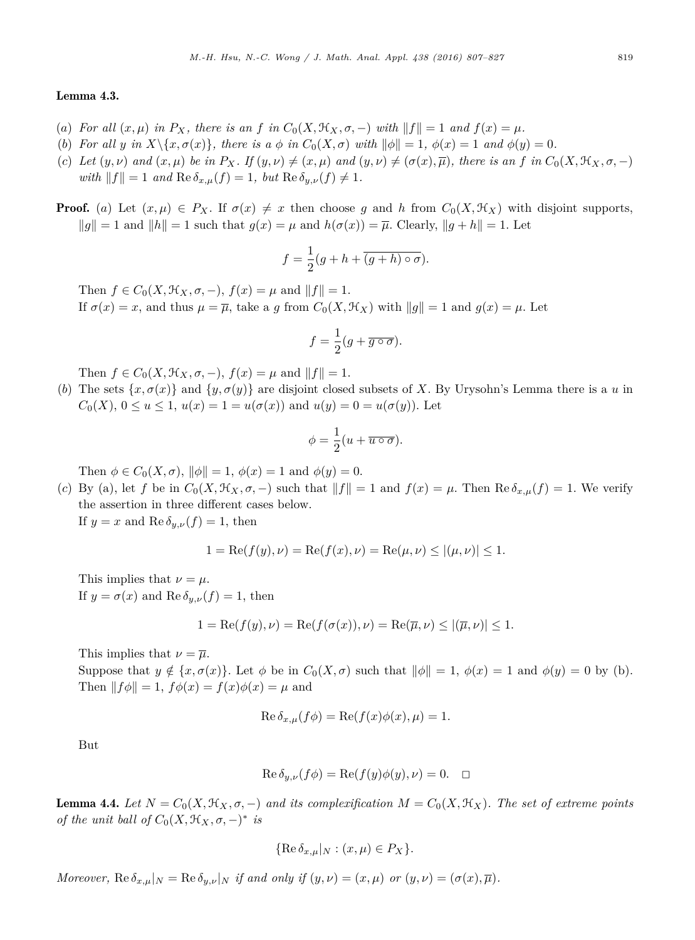### <span id="page-12-0"></span>Lemma 4.3.

- (a) For all  $(x,\mu)$  in  $P_X$ , there is an f in  $C_0(X,\mathcal{H}_X,\sigma,-)$  with  $||f||=1$  and  $f(x)=\mu$ .
- (b) For all y in  $X\setminus\{x,\sigma(x)\}\$ , there is a  $\phi$  in  $C_0(X,\sigma)$  with  $\|\phi\|=1$ ,  $\phi(x)=1$  and  $\phi(y)=0$ .
- (c) Let  $(y, \nu)$  and  $(x, \mu)$  be in  $P_X$ . If  $(y, \nu) \neq (x, \mu)$  and  $(y, \nu) \neq (\sigma(x), \overline{\mu})$ , there is an f in  $C_0(X, \mathcal{H}_X, \sigma, -)$  $with ||f|| = 1$  *and*  $\text{Re } \delta_{x,\mu}(f) = 1$ *, but*  $\text{Re } \delta_{y,\nu}(f) \neq 1$ *.*
- **Proof.** (*a*) Let  $(x, \mu) \in P_X$ . If  $\sigma(x) \neq x$  then choose *g* and *h* from  $C_0(X, \mathcal{H}_X)$  with disjoint supports,  $||q|| = 1$  and  $||h|| = 1$  such that  $q(x) = \mu$  and  $h(\sigma(x)) = \overline{\mu}$ . Clearly,  $||q + h|| = 1$ . Let

$$
f = \frac{1}{2}(g + h + \overline{(g + h) \circ \sigma}).
$$

Then  $f \in C_0(X, \mathcal{H}_X, \sigma, -), f(x) = \mu$  and  $||f|| = 1$ . If  $\sigma(x) = x$ , and thus  $\mu = \overline{\mu}$ , take a *g* from  $C_0(X, \mathcal{H}_X)$  with  $||g|| = 1$  and  $g(x) = \mu$ . Let

$$
f = \frac{1}{2}(g + \overline{g \circ \sigma}).
$$

Then  $f \in C_0(X, \mathcal{H}_X, \sigma, -), f(x) = \mu$  and  $||f|| = 1$ .

(*b*) The sets  $\{x, \sigma(x)\}$  and  $\{y, \sigma(y)\}$  are disjoint closed subsets of *X*. By Urysohn's Lemma there is a *u* in  $C_0(X)$ ,  $0 \le u \le 1$ ,  $u(x) = 1 = u(\sigma(x))$  and  $u(y) = 0 = u(\sigma(y))$ . Let

$$
\phi = \frac{1}{2}(u + \overline{u \circ \sigma}).
$$

Then  $\phi \in C_0(X, \sigma)$ ,  $\|\phi\| = 1$ ,  $\phi(x) = 1$  and  $\phi(y) = 0$ .

(*c*) By (a), let *f* be in  $C_0(X, \mathcal{H}_X, \sigma, -)$  such that  $||f|| = 1$  and  $f(x) = \mu$ . Then  $\text{Re }\delta_{x,\mu}(f) = 1$ . We verify the assertion in three different cases below.

If  $y = x$  and  $\text{Re }\delta_{y,\nu}(f) = 1$ , then

$$
1 = \text{Re}(f(y), \nu) = \text{Re}(f(x), \nu) = \text{Re}(\mu, \nu) \le |(\mu, \nu)| \le 1.
$$

This implies that  $\nu = \mu$ . If  $y = \sigma(x)$  and  $\text{Re }\delta_{y,\nu}(f) = 1$ , then

$$
1 = \text{Re}(f(y), \nu) = \text{Re}(f(\sigma(x)), \nu) = \text{Re}(\overline{\mu}, \nu) \le |(\overline{\mu}, \nu)| \le 1.
$$

This implies that  $\nu = \overline{\mu}$ .

Suppose that  $y \notin \{x, \sigma(x)\}\$ . Let  $\phi$  be in  $C_0(X, \sigma)$  such that  $\|\phi\| = 1$ ,  $\phi(x) = 1$  and  $\phi(y) = 0$  by (b). Then  $|| f \phi || = 1$ ,  $f \phi(x) = f(x) \phi(x) = \mu$  and

$$
\operatorname{Re}\delta_{x,\mu}(f\phi) = \operatorname{Re}(f(x)\phi(x),\mu) = 1.
$$

But

$$
\operatorname{Re}\delta_{y,\nu}(f\phi) = \operatorname{Re}(f(y)\phi(y),\nu) = 0. \quad \Box
$$

**Lemma 4.4.** Let  $N = C_0(X, \mathcal{H}_X, \sigma, -)$  and its complexification  $M = C_0(X, \mathcal{H}_X)$ . The set of extreme points *of* the unit ball of  $C_0(X, \mathcal{H}_X, \sigma, -)^*$  *is* 

$$
\{\operatorname{Re}\delta_{x,\mu}|_N:(x,\mu)\in P_X\}.
$$

Moreover,  $\text{Re }\delta_{x,\mu}|_N = \text{Re }\delta_{y,\nu}|_N$  if and only if  $(y,\nu) = (x,\mu)$  or  $(y,\nu) = (\sigma(x),\overline{\mu})$ .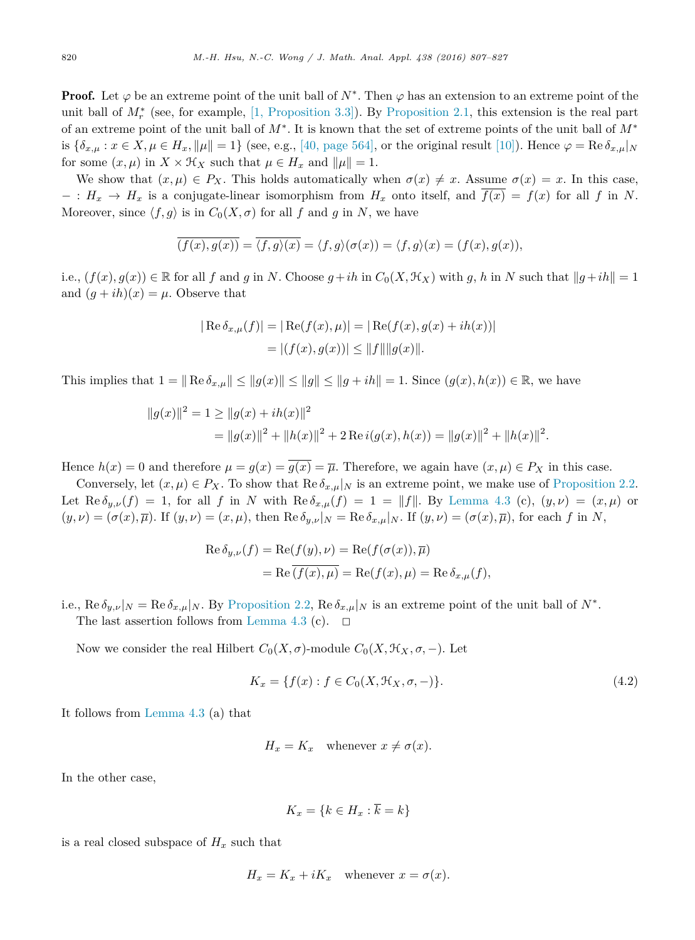<span id="page-13-0"></span>**Proof.** Let  $\varphi$  be an extreme point of the unit ball of  $N^*$ . Then  $\varphi$  has an extension to an extreme point of the unit ball of *M*<sup>∗</sup> *<sup>r</sup>* (see, for example, [1, [Proposition](#page-19-0) 3.3]). By [Proposition 2.1,](#page-2-0) this extension is the real part of an extreme point of the unit ball of *M*∗. It is known that the set of extreme points of the unit ball of *M*<sup>∗</sup> is  $\{\delta_{x,\mu}: x \in X, \mu \in H_x, \|\mu\| = 1\}$  (see, e.g., [40, [page](#page-20-0) 564], or the original result [\[10\]\)](#page-19-0). Hence  $\varphi = \text{Re}\,\delta_{x,\mu}|_N$ for some  $(x, \mu)$  in  $X \times H_X$  such that  $\mu \in H_x$  and  $\|\mu\| = 1$ .

We show that  $(x, \mu) \in P_X$ . This holds automatically when  $\sigma(x) \neq x$ . Assume  $\sigma(x) = x$ . In this case,  $-$  :  $H_x \to H_x$  is a conjugate-linear isomorphism from  $H_x$  onto itself, and  $f(x) = f(x)$  for all f in N. Moreover, since  $\langle f, g \rangle$  is in  $C_0(X, \sigma)$  for all f and g in N, we have

$$
\overline{(f(x),g(x))} = \overline{\langle f,g \rangle(x)} = \langle f,g \rangle(\sigma(x)) = \langle f,g \rangle(x) = (f(x),g(x)),
$$

i.e.,  $(f(x), q(x)) \in \mathbb{R}$  for all f and q in N. Choose  $q + ih$  in  $C_0(X, \mathcal{H}_X)$  with q, h in N such that  $||q + ih|| = 1$ and  $(q + ih)(x) = \mu$ . Observe that

$$
|\operatorname{Re}\delta_{x,\mu}(f)| = |\operatorname{Re}(f(x), \mu)| = |\operatorname{Re}(f(x), g(x) + ih(x))|
$$
  
=  $|(f(x), g(x))| \le ||f|| ||g(x)||$ .

This implies that  $1 = \| \text{Re } \delta_{x,\mu} \| \leq \| g(x) \| \leq \| g \| \leq \| g + ih \| = 1$ . Since  $(g(x), h(x)) \in \mathbb{R}$ , we have

$$
||g(x)||^2 = 1 \ge ||g(x) + ih(x)||^2
$$
  
= 
$$
||g(x)||^2 + ||h(x)||^2 + 2 \operatorname{Re} i(g(x), h(x)) = ||g(x)||^2 + ||h(x)||^2.
$$

Hence  $h(x) = 0$  and therefore  $\mu = g(x) = g(x) = \overline{\mu}$ . Therefore, we again have  $(x, \mu) \in P_X$  in this case.

Conversely, let  $(x, \mu) \in P_X$ . To show that  $\text{Re } \delta_{x, \mu}|_N$  is an extreme point, we make use of [Proposition 2.2.](#page-2-0) Let  $\text{Re } \delta_{y,\nu}(f) = 1$ , for all *f* in *N* with  $\text{Re } \delta_{x,\mu}(f) = 1 = ||f||$ . By [Lemma 4.3](#page-12-0) (c),  $(y,\nu) = (x,\mu)$  or  $(y,\nu)=(\sigma(x),\overline{\mu})$ . If  $(y,\nu)=(x,\mu)$ , then Re  $\delta_{y,\nu}|_N =$  Re  $\delta_{x,\mu}|_N$ . If  $(y,\nu)=(\sigma(x),\overline{\mu})$ , for each f in N,

$$
\operatorname{Re}\delta_{y,\nu}(f) = \operatorname{Re}(f(y), \nu) = \operatorname{Re}(f(\sigma(x)), \overline{\mu})
$$
  
= 
$$
\operatorname{Re}\overline{(f(x), \mu)} = \operatorname{Re}(f(x), \mu) = \operatorname{Re}\delta_{x,\mu}(f),
$$

i.e.,  $\text{Re }\delta_{y,\nu}|_N = \text{Re }\delta_{x,\mu}|_N$ . By [Proposition 2.2,](#page-2-0)  $\text{Re }\delta_{x,\mu}|_N$  is an extreme point of the unit ball of  $N^*$ . The last assertion follows from [Lemma 4.3](#page-12-0) (c).  $\Box$ 

Now we consider the real Hilbert  $C_0(X, \sigma)$ -module  $C_0(X, \mathcal{H}_X, \sigma, -)$ . Let

$$
K_x = \{ f(x) : f \in C_0(X, \mathcal{H}_X, \sigma, -) \}.
$$
\n(4.2)

It follows from [Lemma 4.3](#page-12-0) (a) that

$$
H_x = K_x \quad \text{whenever } x \neq \sigma(x).
$$

In the other case,

$$
K_x = \{k \in H_x : \overline{k} = k\}
$$

is a real closed subspace of  $H_x$  such that

$$
H_x = K_x + iK_x \quad \text{whenever } x = \sigma(x).
$$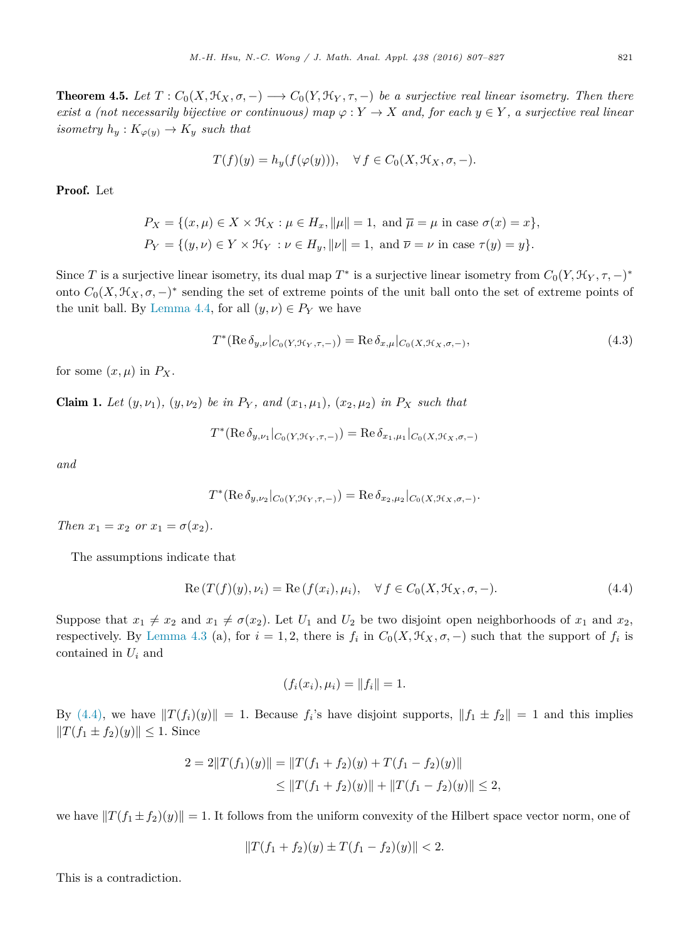<span id="page-14-0"></span>**Theorem 4.5.** Let  $T: C_0(X, \mathcal{H}_X, \sigma, -) \longrightarrow C_0(Y, \mathcal{H}_Y, \tau, -)$  be a surjective real linear isometry. Then there exist a (not necessarily bijective or continuous) map  $\varphi: Y \to X$  and, for each  $y \in Y$ , a surjective real linear *isometry*  $h_y: K_{\varphi(y)} \to K_y$  *such that* 

$$
T(f)(y) = h_y(f(\varphi(y))), \quad \forall f \in C_0(X, \mathcal{H}_X, \sigma, -).
$$

Proof. Let

$$
P_X = \{(x, \mu) \in X \times \mathcal{H}_X : \mu \in H_x, \|\mu\| = 1, \text{ and } \overline{\mu} = \mu \text{ in case } \sigma(x) = x\},\
$$
  

$$
P_Y = \{(y, \nu) \in Y \times \mathcal{H}_Y : \nu \in H_y, \|\nu\| = 1, \text{ and } \overline{\nu} = \nu \text{ in case } \tau(y) = y\}.
$$

Since *T* is a surjective linear isometry, its dual map  $T^*$  is a surjective linear isometry from  $C_0(Y, \mathcal{H}_Y, \tau, -)^*$ onto  $C_0(X, \mathcal{H}_X, \sigma, -)^*$  sending the set of extreme points of the unit ball onto the set of extreme points of the unit ball. By [Lemma 4.4,](#page-12-0) for all  $(y, \nu) \in P_Y$  we have

$$
T^*(\operatorname{Re}\delta_{y,\nu}|_{C_0(Y,\mathcal{H}_Y,\tau,-)}) = \operatorname{Re}\delta_{x,\mu}|_{C_0(X,\mathcal{H}_X,\sigma,-)},\tag{4.3}
$$

for some  $(x, \mu)$  in  $P_X$ .

**Claim 1.** Let  $(y, \nu_1)$ ,  $(y, \nu_2)$  be in  $P_Y$ , and  $(x_1, \mu_1)$ ,  $(x_2, \mu_2)$  in  $P_X$  such that

$$
T^{*}(\text{Re }\delta_{y,\nu_{1}}|_{C_{0}(Y,\mathcal{H}_{Y},\tau,-)})=\text{Re }\delta_{x_{1},\mu_{1}}|_{C_{0}(X,\mathcal{H}_{X},\sigma,-)}
$$

*and*

$$
T^{*}(\text{Re }\delta_{y,\nu_2}|_{C_0(Y,\mathcal{H}_Y,\tau,-)}) = \text{Re }\delta_{x_2,\mu_2}|_{C_0(X,\mathcal{H}_X,\sigma,-)}.
$$

*Then*  $x_1 = x_2$  *or*  $x_1 = \sigma(x_2)$ *.* 

The assumptions indicate that

$$
Re(T(f)(y),\nu_i) = Re(f(x_i),\mu_i), \quad \forall f \in C_0(X, \mathcal{H}_X, \sigma, -).
$$
\n
$$
(4.4)
$$

Suppose that  $x_1 \neq x_2$  and  $x_1 \neq \sigma(x_2)$ . Let  $U_1$  and  $U_2$  be two disjoint open neighborhoods of  $x_1$  and  $x_2$ , respectively. By [Lemma 4.3](#page-12-0) (a), for  $i = 1, 2$ , there is  $f_i$  in  $C_0(X, \mathcal{H}_X, \sigma, -)$  such that the support of  $f_i$  is contained in *U<sup>i</sup>* and

$$
(f_i(x_i), \mu_i) = ||f_i|| = 1.
$$

By (4.4), we have  $||T(f_i)(y)|| = 1$ . Because  $f_i$ 's have disjoint supports,  $||f_1 \pm f_2|| = 1$  and this implies  $||T(f_1 \pm f_2)(y)|| \leq 1$ . Since

$$
2 = 2||T(f_1)(y)|| = ||T(f_1 + f_2)(y) + T(f_1 - f_2)(y)||
$$
  
\n
$$
\leq ||T(f_1 + f_2)(y)|| + ||T(f_1 - f_2)(y)|| \leq 2,
$$

we have  $||T(f_1 \pm f_2)(y)|| = 1$ . It follows from the uniform convexity of the Hilbert space vector norm, one of

$$
||T(f_1 + f_2)(y) \pm T(f_1 - f_2)(y)|| < 2.
$$

This is a contradiction.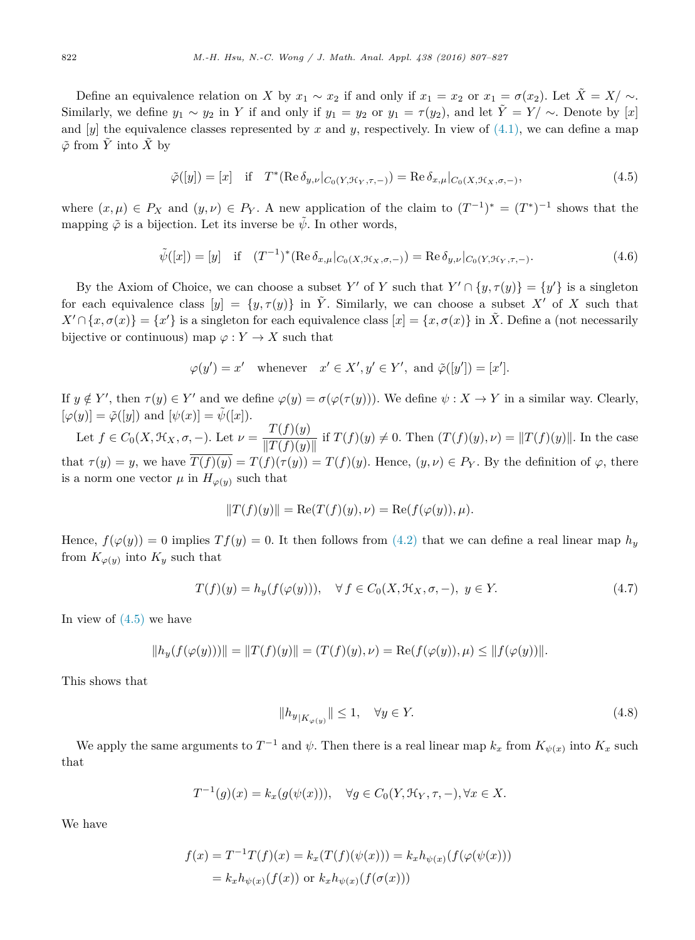<span id="page-15-0"></span>Define an equivalence relation on *X* by  $x_1 \sim x_2$  if and only if  $x_1 = x_2$  or  $x_1 = \sigma(x_2)$ . Let  $\tilde{X} = X/\sim$ . Similarly, we define  $y_1 \sim y_2$  in *Y* if and only if  $y_1 = y_2$  or  $y_1 = \tau(y_2)$ , and let  $\tilde{Y} = Y / \sim$ . Denote by [*x*] and  $[y]$  the equivalence classes represented by x and y, respectively. In view of  $(4.1)$ , we can define a map  $\tilde{\varphi}$  from  $\tilde{Y}$  into  $\tilde{X}$  by

$$
\tilde{\varphi}([y]) = [x] \quad \text{if} \quad T^*(\text{Re}\,\delta_{y,\nu}|_{C_0(Y,\mathcal{H}_Y,\tau,-)}) = \text{Re}\,\delta_{x,\mu}|_{C_0(X,\mathcal{H}_X,\sigma,-)},\tag{4.5}
$$

where  $(x, \mu) \in P_X$  and  $(y, \nu) \in P_Y$ . A new application of the claim to  $(T^{-1})^* = (T^*)^{-1}$  shows that the mapping  $\tilde{\varphi}$  is a bijection. Let its inverse be  $\tilde{\psi}$ . In other words,

$$
\tilde{\psi}([x]) = [y] \quad \text{if} \quad (T^{-1})^* (\text{Re } \delta_{x,\mu}|_{C_0(X,\mathcal{H}_X,\sigma,-)}) = \text{Re } \delta_{y,\nu}|_{C_0(Y,\mathcal{H}_Y,\tau,-)}.
$$
\n(4.6)

By the Axiom of Choice, we can choose a subset *Y'* of *Y* such that  $Y' \cap \{y, \tau(y)\} = \{y'\}$  is a singleton for each equivalence class  $[y] = \{y, \tau(y)\}\$ in  $\tilde{Y}$ . Similarly, we can choose a subset X' of X such that  $X' \cap \{x, \sigma(x)\} = \{x'\}$  is a singleton for each equivalence class  $[x] = \{x, \sigma(x)\}$  in  $\tilde{X}$ . Define a (not necessarily bijective or continuous) map  $\varphi: Y \to X$  such that

$$
\varphi(y') = x'
$$
 whenever  $x' \in X', y' \in Y'$ , and  $\tilde{\varphi}([y']) = [x']$ .

If  $y \notin Y'$ , then  $\tau(y) \in Y'$  and we define  $\varphi(y) = \sigma(\varphi(\tau(y)))$ . We define  $\psi: X \to Y$  in a similar way. Clearly,  $[\varphi(y)] = \tilde{\varphi}([y])$  and  $[\psi(x)] = \tilde{\psi}([x]).$ 

Let  $f \in C_0(X, \mathcal{H}_X, \sigma, -)$ . Let  $\nu = \frac{T(f)(y)}{\|T(f)(y)\|}$  if  $T(f)(y) \neq 0$ . Then  $(T(f)(y), \nu) = \|T(f)(y)\|$ . In the case that  $\tau(y) = y$ , we have  $\overline{T(f)(y)} = T(f)(\tau(y)) = T(f)(y)$ . Hence,  $(y, \nu) \in P_Y$ . By the definition of  $\varphi$ , there is a norm one vector  $\mu$  in  $H_{\varphi(y)}$  such that

$$
||T(f)(y)|| = \text{Re}(T(f)(y), \nu) = \text{Re}(f(\varphi(y)), \mu).
$$

Hence,  $f(\varphi(y)) = 0$  implies  $Tf(y) = 0$ . It then follows from [\(4.2\)](#page-13-0) that we can define a real linear map  $h_y$ from  $K_{\varphi(y)}$  into  $K_y$  such that

$$
T(f)(y) = h_y(f(\varphi(y))), \quad \forall f \in C_0(X, \mathcal{H}_X, \sigma, -), \ y \in Y. \tag{4.7}
$$

In view of  $(4.5)$  we have

$$
||h_y(f(\varphi(y)))|| = ||T(f)(y)|| = (T(f)(y), \nu) = \text{Re}(f(\varphi(y)), \mu) \le ||f(\varphi(y))||.
$$

This shows that

$$
||h_{y|K_{\varphi(y)}}|| \le 1, \quad \forall y \in Y. \tag{4.8}
$$

We apply the same arguments to  $T^{-1}$  and  $\psi$ . Then there is a real linear map  $k_x$  from  $K_{\psi(x)}$  into  $K_x$  such that

$$
T^{-1}(g)(x) = k_x(g(\psi(x))), \quad \forall g \in C_0(Y, \mathcal{H}_Y, \tau, -), \forall x \in X.
$$

We have

$$
f(x) = T^{-1}T(f)(x) = k_x(T(f)(\psi(x))) = k_x h_{\psi(x)}(f(\varphi(\psi(x)))
$$
  
=  $k_x h_{\psi(x)}(f(x))$  or  $k_x h_{\psi(x)}(f(\sigma(x)))$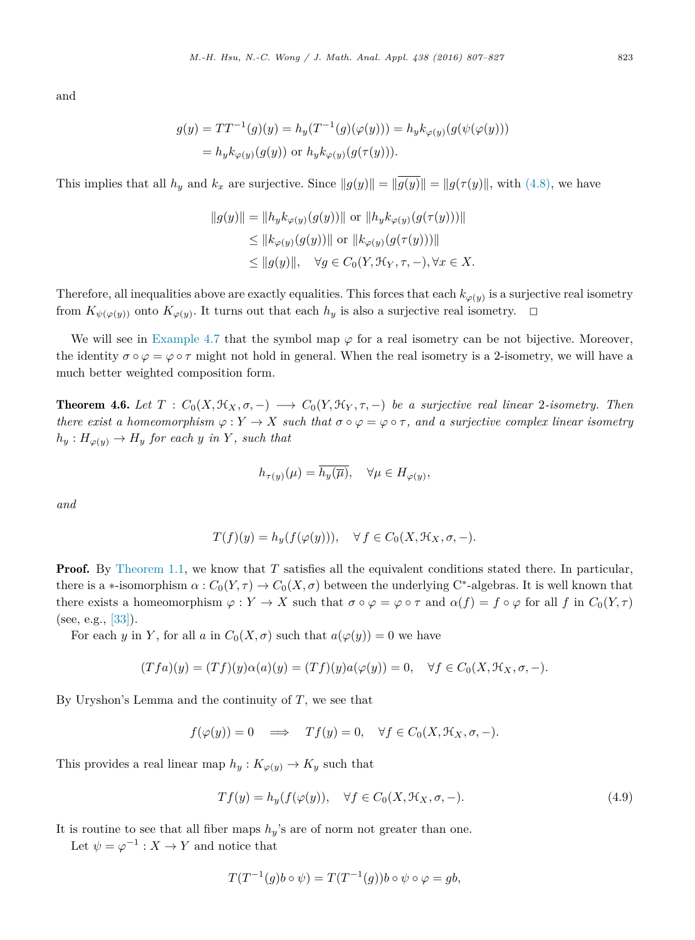<span id="page-16-0"></span>and

$$
g(y) = TT^{-1}(g)(y) = h_y(T^{-1}(g)(\varphi(y))) = h_y k_{\varphi(y)}(g(\psi(\varphi(y))))
$$
  
=  $h_y k_{\varphi(y)}(g(y))$  or  $h_y k_{\varphi(y)}(g(\tau(y))).$ 

This implies that all  $h_y$  and  $k_x$  are surjective. Since  $||g(y)|| = ||\overline{g(y)}|| = ||g(\tau(y)||$ , with [\(4.8\),](#page-15-0) we have

$$
||g(y)|| = ||h_y k_{\varphi(y)}(g(y))|| \text{ or } ||h_y k_{\varphi(y)}(g(\tau(y)))||
$$
  
\n
$$
\leq ||k_{\varphi(y)}(g(y))|| \text{ or } ||k_{\varphi(y)}(g(\tau(y)))||
$$
  
\n
$$
\leq ||g(y)||, \quad \forall g \in C_0(Y, \mathcal{H}_Y, \tau, -), \forall x \in X.
$$

Therefore, all inequalities above are exactly equalities. This forces that each  $k_{\varphi(y)}$  is a surjective real isometry from  $K_{\psi(\varphi(y))}$  onto  $K_{\varphi(y)}$ . It turns out that each  $h_y$  is also a surjective real isometry.  $\Box$ 

We will see in [Example 4.7](#page-17-0) that the symbol map  $\varphi$  for a real isometry can be not bijective. Moreover, the identity  $\sigma \circ \varphi = \varphi \circ \tau$  might not hold in general. When the real isometry is a 2-isometry, we will have a much better weighted composition form.

**Theorem 4.6.** Let  $T: C_0(X, \mathcal{H}_X, \sigma, -) \longrightarrow C_0(Y, \mathcal{H}_Y, \tau, -)$  be a surjective real linear 2-isometry. Then there exist a homeomorphism  $\varphi: Y \to X$  such that  $\sigma \circ \varphi = \varphi \circ \tau$ , and a surjective complex linear isometry  $h_y: H_{\varphi(y)} \to H_y$  *for each y in Y*, *such that* 

$$
h_{\tau(y)}(\mu) = \overline{h_y(\overline{\mu})}, \quad \forall \mu \in H_{\varphi(y)},
$$

*and*

$$
T(f)(y) = h_y(f(\varphi(y))), \quad \forall f \in C_0(X, \mathcal{H}_X, \sigma, -).
$$

**Proof.** By [Theorem 1.1,](#page-0-0) we know that *T* satisfies all the equivalent conditions stated there. In particular, there is a \*-isomorphism  $\alpha$  :  $C_0(Y, \tau) \to C_0(X, \sigma)$  between the underlying C<sup>\*</sup>-algebras. It is well known that there exists a homeomorphism  $\varphi: Y \to X$  such that  $\sigma \circ \varphi = \varphi \circ \tau$  and  $\alpha(f) = f \circ \varphi$  for all f in  $C_0(Y, \tau)$  $(see, e.g., [33]).$  $(see, e.g., [33]).$  $(see, e.g., [33]).$ 

For each *y* in *Y*, for all *a* in  $C_0(X, \sigma)$  such that  $a(\varphi(y)) = 0$  we have

$$
(Tfa)(y) = (Tf)(y)\alpha(a)(y) = (Tf)(y)a(\varphi(y)) = 0, \quad \forall f \in C_0(X, \mathcal{H}_X, \sigma, -).
$$

By Uryshon's Lemma and the continuity of *T*, we see that

$$
f(\varphi(y)) = 0 \implies Tf(y) = 0, \quad \forall f \in C_0(X, \mathcal{H}_X, \sigma, -).
$$

This provides a real linear map  $h_y: K_{\varphi(y)} \to K_y$  such that

$$
Tf(y) = h_y(f(\varphi(y)), \quad \forall f \in C_0(X, \mathcal{H}_X, \sigma, -). \tag{4.9}
$$

It is routine to see that all fiber maps  $h_y$ 's are of norm not greater than one.

Let  $\psi = \varphi^{-1} : X \to Y$  and notice that

$$
T(T^{-1}(g)b \circ \psi) = T(T^{-1}(g))b \circ \psi \circ \varphi = gb,
$$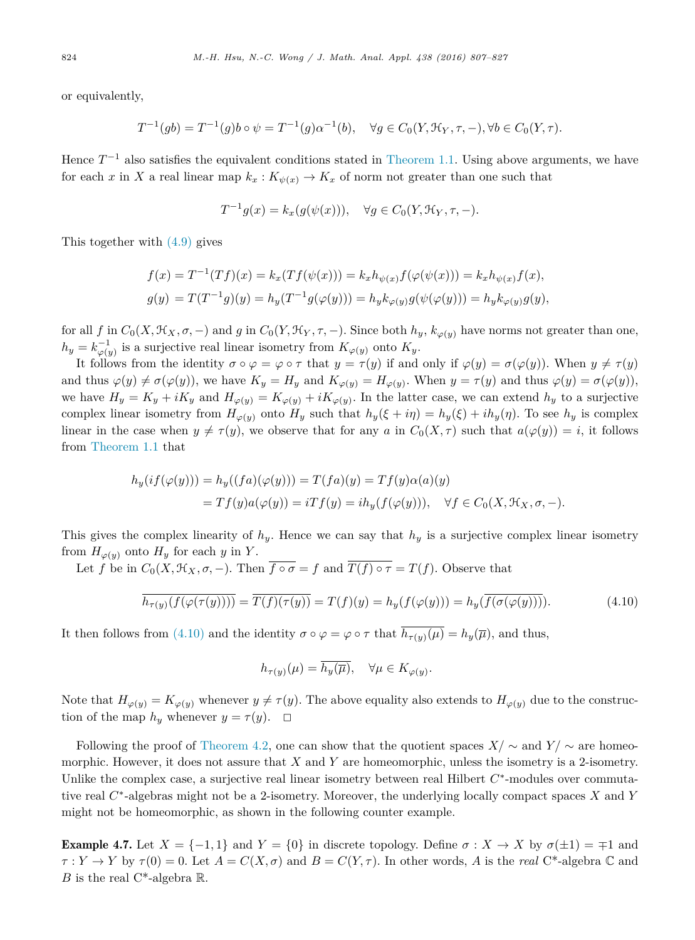<span id="page-17-0"></span>or equivalently,

$$
T^{-1}(gb) = T^{-1}(g)b \circ \psi = T^{-1}(g)\alpha^{-1}(b), \quad \forall g \in C_0(Y, \mathcal{H}_Y, \tau, -), \forall b \in C_0(Y, \tau).
$$

Hence  $T^{-1}$  also satisfies the equivalent conditions stated in [Theorem 1.1.](#page-0-0) Using above arguments, we have for each *x* in *X* a real linear map  $k_x : K_{\psi(x)} \to K_x$  of norm not greater than one such that

$$
T^{-1}g(x) = k_x(g(\psi(x))), \quad \forall g \in C_0(Y, \mathcal{H}_Y, \tau, -).
$$

This together with [\(4.9\)](#page-16-0) gives

$$
f(x) = T^{-1}(Tf)(x) = k_x(Tf(\psi(x))) = k_x h_{\psi(x)}f(\varphi(\psi(x))) = k_x h_{\psi(x)}f(x),
$$
  

$$
g(y) = T(T^{-1}g)(y) = h_y(T^{-1}g(\varphi(y))) = h_y k_{\varphi(y)}g(\psi(\varphi(y))) = h_y k_{\varphi(y)}g(y),
$$

for all f in  $C_0(X, \mathfrak{K}_X, \sigma, -)$  and g in  $C_0(Y, \mathfrak{K}_Y, \tau, -)$ . Since both  $h_y$ ,  $k_{\varphi(y)}$  have norms not greater than one,  $h_y = k_{\varphi(y)}^{-1}$  is a surjective real linear isometry from  $K_{\varphi(y)}$  onto  $K_y$ .

It follows from the identity  $\sigma \circ \varphi = \varphi \circ \tau$  that  $y = \tau(y)$  if and only if  $\varphi(y) = \sigma(\varphi(y))$ . When  $y \neq \tau(y)$ and thus  $\varphi(y) \neq \sigma(\varphi(y))$ , we have  $K_y = H_y$  and  $K_{\varphi(y)} = H_{\varphi(y)}$ . When  $y = \tau(y)$  and thus  $\varphi(y) = \sigma(\varphi(y))$ , we have  $H_y = K_y + iK_y$  and  $H_{\varphi(y)} = K_{\varphi(y)} + iK_{\varphi(y)}$ . In the latter case, we can extend  $h_y$  to a surjective complex linear isometry from  $H_{\varphi(y)}$  onto  $H_y$  such that  $h_y(\xi + i\eta) = h_y(\xi) + ih_y(\eta)$ . To see  $h_y$  is complex linear in the case when  $y \neq \tau(y)$ , we observe that for any *a* in  $C_0(X, \tau)$  such that  $a(\varphi(y)) = i$ , it follows from [Theorem 1.1](#page-0-0) that

$$
h_y(i f(\varphi(y))) = h_y((fa)(\varphi(y))) = T(fa)(y) = Tf(y)\alpha(a)(y)
$$
  
=  $Tf(y)a(\varphi(y)) = iTf(y) = ih_y(f(\varphi(y))), \forall f \in C_0(X, \mathcal{H}_X, \sigma, -).$ 

This gives the complex linearity of  $h_y$ . Hence we can say that  $h_y$  is a surjective complex linear isometry from  $H_{\varphi(y)}$  onto  $H_y$  for each *y* in *Y*.

Let *f* be in  $C_0(X, \mathcal{H}_X, \sigma, -)$ . Then  $\overline{f \circ \sigma} = f$  and  $\overline{T(f) \circ \tau} = T(f)$ . Observe that

$$
\overline{h_{\tau(y)}(f(\varphi(\tau(y))))} = \overline{T(f)(\tau(y))} = T(f)(y) = h_y(f(\varphi(y))) = h_y(\overline{f(\sigma(\varphi(y))))}).
$$
\n(4.10)

It then follows from (4.10) and the identity  $\sigma \circ \varphi = \varphi \circ \tau$  that  $\overline{h_{\tau(\nu)}(\mu)} = h_{\nu}(\overline{\mu})$ , and thus,

$$
h_{\tau(y)}(\mu) = \overline{h_y(\overline{\mu})}, \quad \forall \mu \in K_{\varphi(y)}.
$$

Note that  $H_{\varphi(y)} = K_{\varphi(y)}$  whenever  $y \neq \tau(y)$ . The above equality also extends to  $H_{\varphi(y)}$  due to the construction of the map  $h_y$  whenever  $y = \tau(y)$ .  $\Box$ 

Following the proof of [Theorem 4.2,](#page-10-0) one can show that the quotient spaces  $X/\sim$  and  $Y/\sim$  are homeomorphic. However, it does not assure that *X* and *Y* are homeomorphic, unless the isometry is a 2-isometry. Unlike the complex case, a surjective real linear isometry between real Hilbert *C*∗-modules over commutative real *C*∗-algebras might not be a 2-isometry. Moreover, the underlying locally compact spaces *X* and *Y* might not be homeomorphic, as shown in the following counter example.

**Example 4.7.** Let  $X = \{-1, 1\}$  and  $Y = \{0\}$  in discrete topology. Define  $\sigma : X \to X$  by  $\sigma(\pm 1) = \mp 1$  and  $\tau: Y \to Y$  by  $\tau(0) = 0$ . Let  $A = C(X, \sigma)$  and  $B = C(Y, \tau)$ . In other words, *A* is the *real* C\*-algebra C and *B* is the real C<sup>\*</sup>-algebra  $\mathbb{R}$ .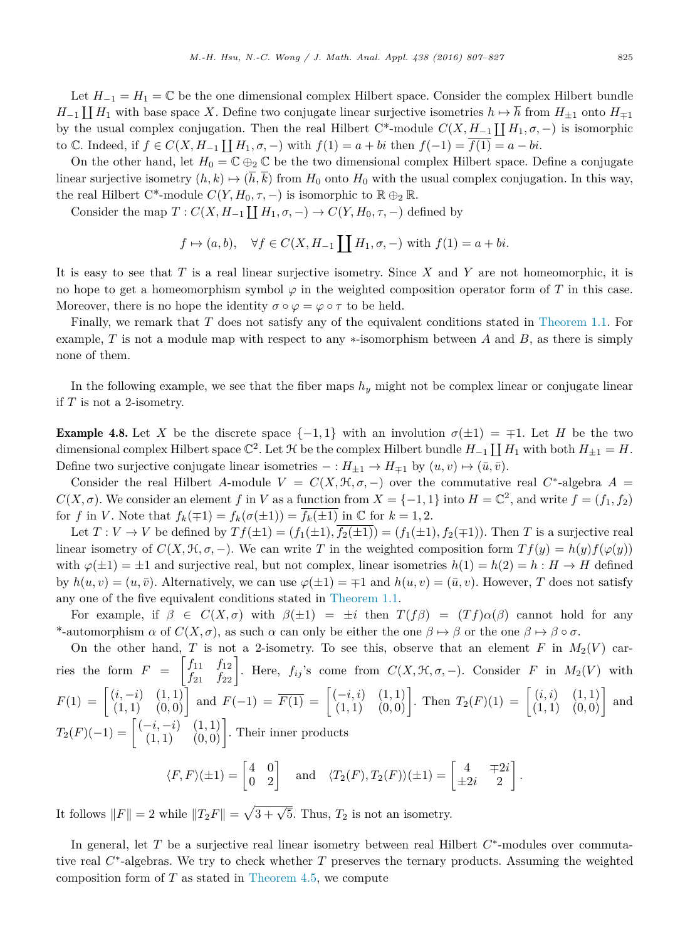<span id="page-18-0"></span>Let  $H_{-1} = H_1 = \mathbb{C}$  be the one dimensional complex Hilbert space. Consider the complex Hilbert bundle  $H_{-1} \coprod H_1$  with base space *X*. Define two conjugate linear surjective isometries  $h \mapsto h$  from  $H_{\pm 1}$  onto  $H_{\mp 1}$ by the usual complex conjugation. Then the real Hilbert  $C^*$ -module  $C(X, H_{-1} \coprod H_1, \sigma, -)$  is isomorphic to  $\mathbb{C}$ . Indeed, if *f* ∈ *C*(*X*, *H*<sub>−1</sub>  $\coprod$  *H*<sub>1</sub>, *σ*, −) with *f*(1) = *a* + *bi* then *f*(−1) =  $\overline{f(1)}$  = *a* − *bi*.

On the other hand, let  $H_0 = \mathbb{C} \oplus_2 \mathbb{C}$  be the two dimensional complex Hilbert space. Define a conjugate linear surjective isometry  $(h, k) \mapsto (h, k)$  from  $H_0$  onto  $H_0$  with the usual complex conjugation. In this way, the real Hilbert C<sup>\*</sup>-module  $C(Y, H_0, \tau, -)$  is isomorphic to  $\mathbb{R} \oplus_2 \mathbb{R}$ .

Consider the map  $T: C(X, H_{-1} \coprod H_1, \sigma, -) \to C(Y, H_0, \tau, -)$  defined by

$$
f \mapsto (a, b), \quad \forall f \in C(X, H_{-1} \coprod H_1, \sigma, -)
$$
 with  $f(1) = a + bi$ .

It is easy to see that *T* is a real linear surjective isometry. Since *X* and *Y* are not homeomorphic, it is no hope to get a homeomorphism symbol  $\varphi$  in the weighted composition operator form of *T* in this case. Moreover, there is no hope the identity  $\sigma \circ \varphi = \varphi \circ \tau$  to be held.

Finally, we remark that *T* does not satisfy any of the equivalent conditions stated in [Theorem 1.1.](#page-0-0) For example, *T* is not a module map with respect to any ∗-isomorphism between *A* and *B*, as there is simply none of them.

In the following example, we see that the fiber maps  $h_y$  might not be complex linear or conjugate linear if *T* is not a 2-isometry.

**Example 4.8.** Let X be the discrete space  $\{-1,1\}$  with an involution  $\sigma(\pm 1) = \mp 1$ . Let H be the two dimensional complex Hilbert space  $\mathbb{C}^2$ . Let  $\mathcal H$  be the complex Hilbert bundle  $H_{-1} \coprod H_1$  with both  $H_{\pm 1} = H$ . Define two surjective conjugate linear isometries  $- : H_{\pm 1} \to H_{\mp 1}$  by  $(u, v) \mapsto (\bar{u}, \bar{v})$ .

Consider the real Hilbert *A*-module  $V = C(X, \mathcal{H}, \sigma, -)$  over the commutative real  $C^*$ -algebra  $A =$  $C(X, \sigma)$ . We consider an element *f* in *V* as a function from  $X = \{-1, 1\}$  into  $H = \mathbb{C}^2$ , and write  $f = (f_1, f_2)$ for *f* in *V*. Note that  $f_k(\mp 1) = f_k(\sigma(\pm 1)) = f_k(\pm 1)$  in  $\mathbb C$  for  $k = 1, 2$ .

Let  $T: V \to V$  be defined by  $Tf(\pm 1) = (f_1(\pm 1), \overline{f_2(\pm 1)}) = (f_1(\pm 1), f_2(\mp 1))$ . Then *T* is a surjective real linear isometry of  $C(X, \mathcal{H}, \sigma, -)$ . We can write *T* in the weighted composition form  $Tf(y) = h(y)f(\varphi(y))$ with  $\varphi(\pm 1) = \pm 1$  and surjective real, but not complex, linear isometries  $h(1) = h(2) = h : H \to H$  defined by  $h(u, v) = (u, \bar{v})$ . Alternatively, we can use  $\varphi(\pm 1) = \pm 1$  and  $h(u, v) = (\bar{u}, v)$ . However, *T* does not satisfy any one of the five equivalent conditions stated in [Theorem](#page-0-0) 1.1.

For example, if  $\beta \in C(X,\sigma)$  with  $\beta(\pm 1) = \pm i$  then  $T(f\beta) = (Tf)\alpha(\beta)$  cannot hold for any \*-automorphism  $\alpha$  of  $C(X, \sigma)$ , as such  $\alpha$  can only be either the one  $\beta \mapsto \beta$  or the one  $\beta \mapsto \beta \circ \sigma$ .

On the other hand, *T* is not a 2-isometry. To see this, observe that an element *F* in  $M_2(V)$  carries the form  $F = \begin{bmatrix} f_{11} & f_{12} \\ f_{21} & f_{22} \end{bmatrix}$ . Here,  $f_{ij}$ 's come from  $C(X, \mathcal{H}, \sigma, -)$ . Consider *F* in  $M_2(V)$  with  $F(1) = \begin{bmatrix} (i, -i) & (1, 1) \\ (1, 1) & (0, 0) \end{bmatrix}$  and  $F(-1) = \overline{F(1)} = \begin{bmatrix} (-i, i) & (1, 1) \\ (1, 1) & (0, 0) \end{bmatrix}$ . Then  $T_2(F)(1) = \begin{bmatrix} (i, i) & (1, 1) \\ (1, 1) & (0, 0) \end{bmatrix}$  and  $T_2(F)(-1) = \begin{bmatrix} (-i, -i) & (1, 1) \\ (1, 1) & (0, 0) \end{bmatrix}$ . Their inner products  $\langle F, F \rangle (\pm 1) = \begin{bmatrix} 4 & 0 \\ 0 & 2 \end{bmatrix}$  and  $\langle T_2(F), T_2(F) \rangle (\pm 1) = \begin{bmatrix} 4 & \mp 2i \\ \pm 2i & 2 \end{bmatrix}$ *.*

$$
\begin{bmatrix} 0 & 2 \end{bmatrix}
$$

It follows  $||F|| = 2$  while  $||T_2F|| = \sqrt{3} + \sqrt{5}$ . Thus,  $T_2$  is not an isometry.

In general, let *T* be a surjective real linear isometry between real Hilbert *C*∗-modules over commutative real *C*∗-algebras. We try to check whether *T* preserves the ternary products. Assuming the weighted composition form of  $T$  as stated in [Theorem 4.5,](#page-14-0) we compute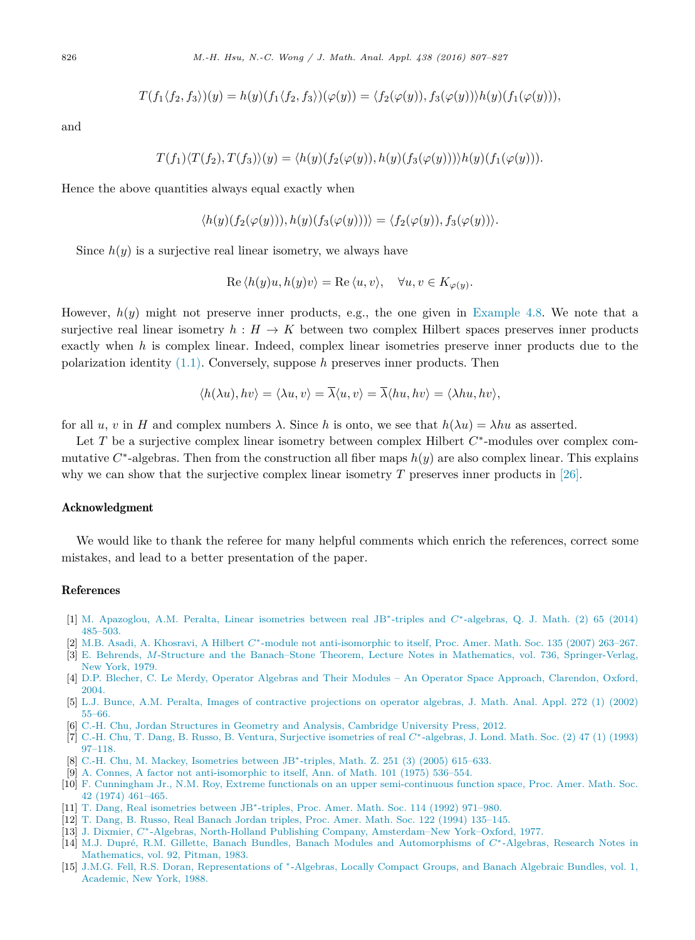$$
T(f_1\langle f_2,f_3\rangle)(y)=h(y)(f_1\langle f_2,f_3\rangle)(\varphi(y))=\langle f_2(\varphi(y)),f_3(\varphi(y))\rangle h(y)(f_1(\varphi(y))),
$$

<span id="page-19-0"></span>and

$$
T(f_1)\langle T(f_2), T(f_3)\rangle(y) = \langle h(y)(f_2(\varphi(y)), h(y)(f_3(\varphi(y)))\rangle h(y)(f_1(\varphi(y))).
$$

Hence the above quantities always equal exactly when

$$
\langle h(y)(f_2(\varphi(y))), h(y)(f_3(\varphi(y))) \rangle = \langle f_2(\varphi(y)), f_3(\varphi(y)) \rangle.
$$

Since  $h(y)$  is a surjective real linear isometry, we always have

$$
\operatorname{Re}\left\langle h(y)u, h(y)v\right\rangle = \operatorname{Re}\left\langle u, v\right\rangle, \quad \forall u, v \in K_{\varphi(y)}.
$$

However,  $h(y)$  might not preserve inner products, e.g., the one given in [Example 4.8.](#page-18-0) We note that a surjective real linear isometry  $h : H \to K$  between two complex Hilbert spaces preserves inner products exactly when *h* is complex linear. Indeed, complex linear isometries preserve inner products due to the polarization identity [\(1.1\).](#page-1-0) Conversely, suppose *h* preserves inner products. Then

$$
\langle h(\lambda u), hv \rangle = \langle \lambda u, v \rangle = \overline{\lambda} \langle u, v \rangle = \overline{\lambda} \langle hu, hv \rangle = \langle \lambda hu, hv \rangle,
$$

for all *u*, *v* in *H* and complex numbers  $\lambda$ . Since *h* is onto, we see that  $h(\lambda u) = \lambda hu$  as asserted.

Let *T* be a surjective complex linear isometry between complex Hilbert *C*∗-modules over complex commutative  $C^*$ -algebras. Then from the construction all fiber maps  $h(y)$  are also complex linear. This explains why we can show that the surjective complex linear isometry *T* preserves inner products in [\[26\].](#page-20-0)

# Acknowledgment

We would like to thank the referee for many helpful comments which enrich the references, correct some mistakes, and lead to a better presentation of the paper.

# References

- [1] M. [Apazoglou,](http://refhub.elsevier.com/S0022-247X(16)00142-6/bib41503134s1) A.M. Peralta, Linear isometries between real JB∗-triples and *C*∗-algebras, Q. J. Math. (2) 65 (2014) [485–503.](http://refhub.elsevier.com/S0022-247X(16)00142-6/bib41503134s1)
- [2] M.B. Asadi, A. Khosravi, A Hilbert *C*∗-module not [anti-isomorphic](http://refhub.elsevier.com/S0022-247X(16)00142-6/bib414B3037s1) to itself, Proc. Amer. Math. Soc. 135 (2007) 263–267.
- [3] E. Behrends, *M*-Structure and the Banach–Stone Theorem, Lecture Notes in Mathematics, vol. 736, [Springer-Verlag,](http://refhub.elsevier.com/S0022-247X(16)00142-6/bib4265683739s1) [New York,](http://refhub.elsevier.com/S0022-247X(16)00142-6/bib4265683739s1) 1979.
- [4] D.P. Blecher, C. Le Merdy, Operator Algebras and Their Modules An Operator Space Approach, [Clarendon,](http://refhub.elsevier.com/S0022-247X(16)00142-6/bib424Ds1) Oxford, [2004.](http://refhub.elsevier.com/S0022-247X(16)00142-6/bib424Ds1)
- [5] L.J. Bunce, A.M. Peralta, Images of [contractive](http://refhub.elsevier.com/S0022-247X(16)00142-6/bib4250s1) projections on operator algebras, J. Math. Anal. Appl. 272 (1) (2002) [55–66.](http://refhub.elsevier.com/S0022-247X(16)00142-6/bib4250s1)
- [6] C.-H. Chu, Jordan Structures in Geometry and Analysis, [Cambridge](http://refhub.elsevier.com/S0022-247X(16)00142-6/bib433131s1) University Press, 2012.
- [7] C.-H. Chu, T. Dang, B. Russo, B. Ventura, Surjective [isometries](http://refhub.elsevier.com/S0022-247X(16)00142-6/bib43445256s1) of real *C*∗-algebras, J. Lond. Math. Soc. (2) 47 (1) (1993) [97–118.](http://refhub.elsevier.com/S0022-247X(16)00142-6/bib43445256s1)
- [8] C.-H. Chu, M. Mackey, [Isometries](http://refhub.elsevier.com/S0022-247X(16)00142-6/bib434D3035s1) between JB<sup>\*</sup>-triples, Math. Z. 251 (3) (2005) 615–633.
- [9] A. Connes, A factor not [anti-isomorphic](http://refhub.elsevier.com/S0022-247X(16)00142-6/bib433735s1) to itself, Ann. of Math. 101 (1975) 536–554.
- [10] F. Cunningham Jr., N.M. Roy, Extreme functionals on an upper [semi-continuous](http://refhub.elsevier.com/S0022-247X(16)00142-6/bib43756E6E526F79s1) function space, Proc. Amer. Math. Soc. 42 (1974) [461–465.](http://refhub.elsevier.com/S0022-247X(16)00142-6/bib43756E6E526F79s1)
- [11] T. Dang, Real [isometries](http://refhub.elsevier.com/S0022-247X(16)00142-6/bib443932s1) between JB∗-triples, Proc. Amer. Math. Soc. 114 (1992) 971–980.
- [12] T. Dang, B. Russo, Real Banach Jordan triples, Proc. Amer. Math. Soc. 122 (1994) [135–145.](http://refhub.elsevier.com/S0022-247X(16)00142-6/bib44616E52753934s1)
- [13] J. Dixmier, *C*∗-Algebras, North-Holland Publishing Company, [Amsterdam–New](http://refhub.elsevier.com/S0022-247X(16)00142-6/bib443737s1) York–Oxford, 1977.
- [14] M.J. Dupré, R.M. Gillette, Banach Bundles, Banach Modules and [Automorphisms](http://refhub.elsevier.com/S0022-247X(16)00142-6/bib44473833s1) of *C*∗-Algebras, Research Notes in [Mathematics,](http://refhub.elsevier.com/S0022-247X(16)00142-6/bib44473833s1) vol. 92, Pitman, 1983.
- [15] J.M.G. Fell, R.S. Doran, [Representations](http://refhub.elsevier.com/S0022-247X(16)00142-6/bib46443838s1) of <sup>∗</sup>-Algebras, Locally Compact Groups, and Banach Algebraic Bundles, vol. 1, [Academic,](http://refhub.elsevier.com/S0022-247X(16)00142-6/bib46443838s1) New York, 1988.